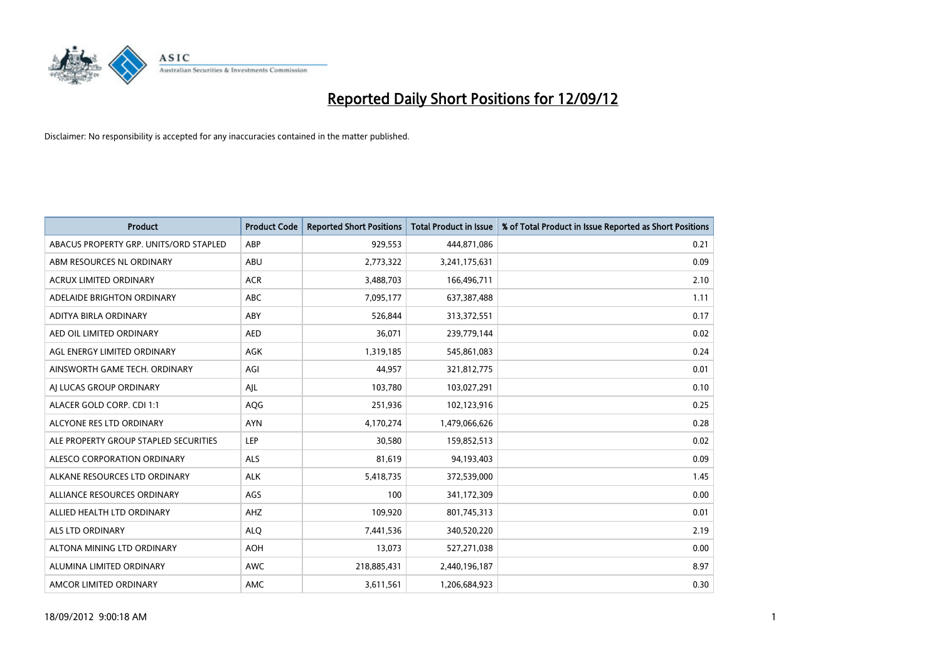

| <b>Product</b>                         | <b>Product Code</b> | <b>Reported Short Positions</b> | <b>Total Product in Issue</b> | % of Total Product in Issue Reported as Short Positions |
|----------------------------------------|---------------------|---------------------------------|-------------------------------|---------------------------------------------------------|
| ABACUS PROPERTY GRP. UNITS/ORD STAPLED | ABP                 | 929,553                         | 444,871,086                   | 0.21                                                    |
| ABM RESOURCES NL ORDINARY              | ABU                 | 2,773,322                       | 3,241,175,631                 | 0.09                                                    |
| <b>ACRUX LIMITED ORDINARY</b>          | <b>ACR</b>          | 3,488,703                       | 166,496,711                   | 2.10                                                    |
| ADELAIDE BRIGHTON ORDINARY             | <b>ABC</b>          | 7,095,177                       | 637,387,488                   | 1.11                                                    |
| ADITYA BIRLA ORDINARY                  | ABY                 | 526.844                         | 313,372,551                   | 0.17                                                    |
| AED OIL LIMITED ORDINARY               | <b>AED</b>          | 36,071                          | 239,779,144                   | 0.02                                                    |
| AGL ENERGY LIMITED ORDINARY            | <b>AGK</b>          | 1,319,185                       | 545,861,083                   | 0.24                                                    |
| AINSWORTH GAME TECH. ORDINARY          | AGI                 | 44,957                          | 321,812,775                   | 0.01                                                    |
| AI LUCAS GROUP ORDINARY                | AJL                 | 103,780                         | 103,027,291                   | 0.10                                                    |
| ALACER GOLD CORP. CDI 1:1              | AQG                 | 251,936                         | 102,123,916                   | 0.25                                                    |
| ALCYONE RES LTD ORDINARY               | <b>AYN</b>          | 4,170,274                       | 1,479,066,626                 | 0.28                                                    |
| ALE PROPERTY GROUP STAPLED SECURITIES  | LEP                 | 30,580                          | 159,852,513                   | 0.02                                                    |
| ALESCO CORPORATION ORDINARY            | <b>ALS</b>          | 81,619                          | 94,193,403                    | 0.09                                                    |
| ALKANE RESOURCES LTD ORDINARY          | <b>ALK</b>          | 5,418,735                       | 372,539,000                   | 1.45                                                    |
| ALLIANCE RESOURCES ORDINARY            | AGS                 | 100                             | 341,172,309                   | 0.00                                                    |
| ALLIED HEALTH LTD ORDINARY             | AHZ                 | 109,920                         | 801,745,313                   | 0.01                                                    |
| <b>ALS LTD ORDINARY</b>                | <b>ALQ</b>          | 7,441,536                       | 340,520,220                   | 2.19                                                    |
| ALTONA MINING LTD ORDINARY             | <b>AOH</b>          | 13,073                          | 527,271,038                   | 0.00                                                    |
| ALUMINA LIMITED ORDINARY               | <b>AWC</b>          | 218,885,431                     | 2,440,196,187                 | 8.97                                                    |
| AMCOR LIMITED ORDINARY                 | <b>AMC</b>          | 3,611,561                       | 1,206,684,923                 | 0.30                                                    |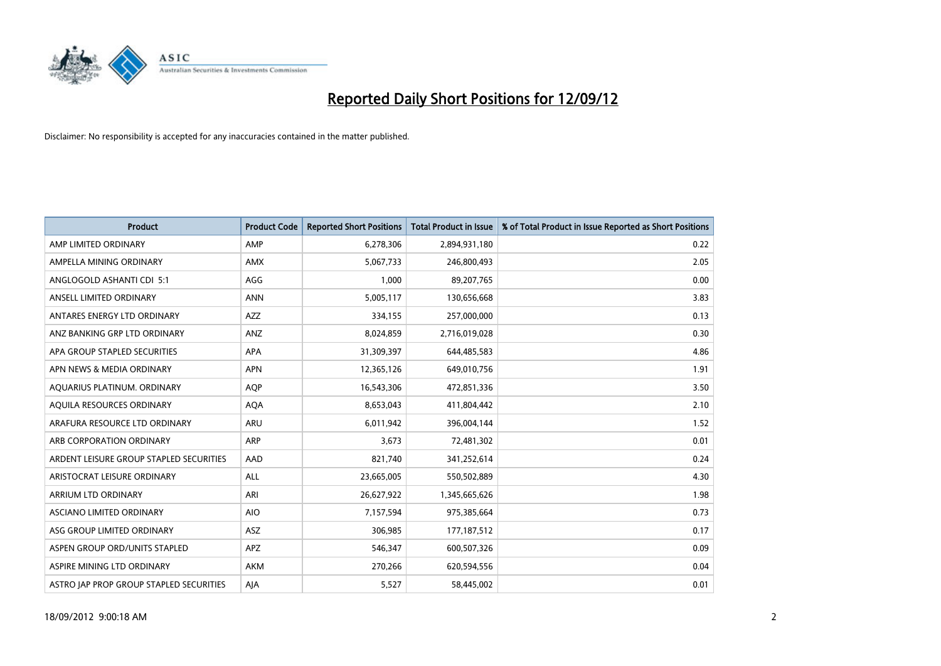

| <b>Product</b>                          | <b>Product Code</b> | <b>Reported Short Positions</b> | <b>Total Product in Issue</b> | % of Total Product in Issue Reported as Short Positions |
|-----------------------------------------|---------------------|---------------------------------|-------------------------------|---------------------------------------------------------|
| AMP LIMITED ORDINARY                    | AMP                 | 6,278,306                       | 2,894,931,180                 | 0.22                                                    |
| AMPELLA MINING ORDINARY                 | <b>AMX</b>          | 5,067,733                       | 246,800,493                   | 2.05                                                    |
| ANGLOGOLD ASHANTI CDI 5:1               | AGG                 | 1,000                           | 89,207,765                    | 0.00                                                    |
| ANSELL LIMITED ORDINARY                 | <b>ANN</b>          | 5,005,117                       | 130,656,668                   | 3.83                                                    |
| ANTARES ENERGY LTD ORDINARY             | <b>AZZ</b>          | 334,155                         | 257,000,000                   | 0.13                                                    |
| ANZ BANKING GRP LTD ORDINARY            | ANZ                 | 8,024,859                       | 2,716,019,028                 | 0.30                                                    |
| APA GROUP STAPLED SECURITIES            | APA                 | 31,309,397                      | 644,485,583                   | 4.86                                                    |
| APN NEWS & MEDIA ORDINARY               | <b>APN</b>          | 12,365,126                      | 649,010,756                   | 1.91                                                    |
| AQUARIUS PLATINUM. ORDINARY             | <b>AOP</b>          | 16,543,306                      | 472,851,336                   | 3.50                                                    |
| AQUILA RESOURCES ORDINARY               | <b>AQA</b>          | 8,653,043                       | 411,804,442                   | 2.10                                                    |
| ARAFURA RESOURCE LTD ORDINARY           | <b>ARU</b>          | 6,011,942                       | 396,004,144                   | 1.52                                                    |
| ARB CORPORATION ORDINARY                | ARP                 | 3,673                           | 72,481,302                    | 0.01                                                    |
| ARDENT LEISURE GROUP STAPLED SECURITIES | AAD                 | 821,740                         | 341,252,614                   | 0.24                                                    |
| ARISTOCRAT LEISURE ORDINARY             | ALL                 | 23,665,005                      | 550,502,889                   | 4.30                                                    |
| <b>ARRIUM LTD ORDINARY</b>              | ARI                 | 26,627,922                      | 1,345,665,626                 | 1.98                                                    |
| <b>ASCIANO LIMITED ORDINARY</b>         | <b>AIO</b>          | 7,157,594                       | 975,385,664                   | 0.73                                                    |
| ASG GROUP LIMITED ORDINARY              | ASZ                 | 306,985                         | 177, 187, 512                 | 0.17                                                    |
| ASPEN GROUP ORD/UNITS STAPLED           | <b>APZ</b>          | 546,347                         | 600,507,326                   | 0.09                                                    |
| ASPIRE MINING LTD ORDINARY              | <b>AKM</b>          | 270,266                         | 620,594,556                   | 0.04                                                    |
| ASTRO JAP PROP GROUP STAPLED SECURITIES | AJA                 | 5,527                           | 58,445,002                    | 0.01                                                    |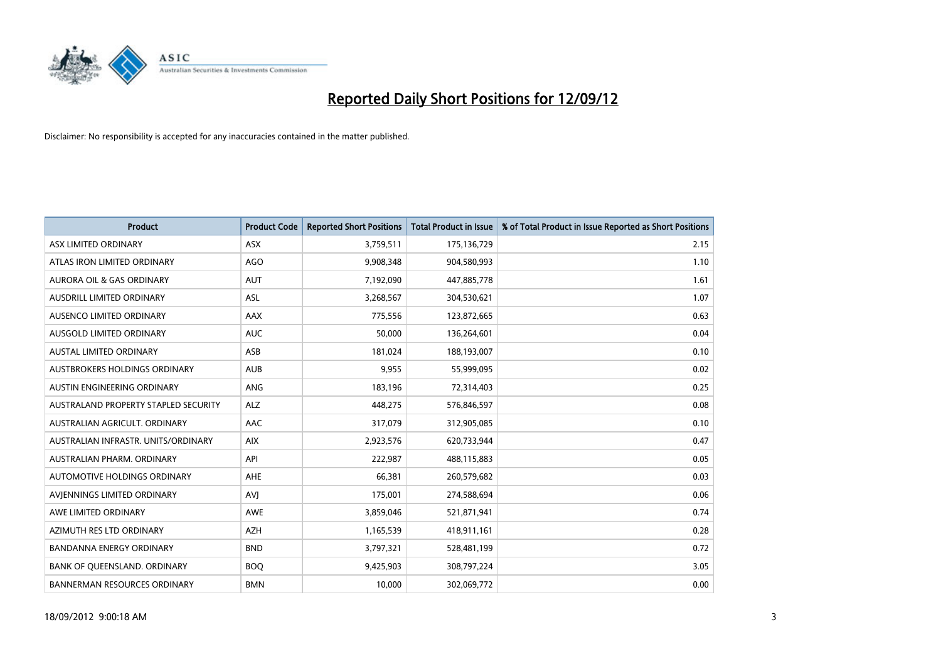

| <b>Product</b>                       | <b>Product Code</b> | <b>Reported Short Positions</b> | <b>Total Product in Issue</b> | % of Total Product in Issue Reported as Short Positions |
|--------------------------------------|---------------------|---------------------------------|-------------------------------|---------------------------------------------------------|
| ASX LIMITED ORDINARY                 | <b>ASX</b>          | 3,759,511                       | 175,136,729                   | 2.15                                                    |
| ATLAS IRON LIMITED ORDINARY          | <b>AGO</b>          | 9,908,348                       | 904,580,993                   | 1.10                                                    |
| <b>AURORA OIL &amp; GAS ORDINARY</b> | <b>AUT</b>          | 7,192,090                       | 447,885,778                   | 1.61                                                    |
| AUSDRILL LIMITED ORDINARY            | <b>ASL</b>          | 3,268,567                       | 304,530,621                   | 1.07                                                    |
| AUSENCO LIMITED ORDINARY             | AAX                 | 775,556                         | 123,872,665                   | 0.63                                                    |
| AUSGOLD LIMITED ORDINARY             | <b>AUC</b>          | 50,000                          | 136,264,601                   | 0.04                                                    |
| <b>AUSTAL LIMITED ORDINARY</b>       | ASB                 | 181,024                         | 188,193,007                   | 0.10                                                    |
| AUSTBROKERS HOLDINGS ORDINARY        | <b>AUB</b>          | 9,955                           | 55,999,095                    | 0.02                                                    |
| AUSTIN ENGINEERING ORDINARY          | <b>ANG</b>          | 183,196                         | 72,314,403                    | 0.25                                                    |
| AUSTRALAND PROPERTY STAPLED SECURITY | <b>ALZ</b>          | 448,275                         | 576,846,597                   | 0.08                                                    |
| AUSTRALIAN AGRICULT, ORDINARY        | AAC                 | 317,079                         | 312,905,085                   | 0.10                                                    |
| AUSTRALIAN INFRASTR, UNITS/ORDINARY  | <b>AIX</b>          | 2,923,576                       | 620,733,944                   | 0.47                                                    |
| AUSTRALIAN PHARM, ORDINARY           | API                 | 222,987                         | 488,115,883                   | 0.05                                                    |
| AUTOMOTIVE HOLDINGS ORDINARY         | AHE                 | 66,381                          | 260,579,682                   | 0.03                                                    |
| AVIENNINGS LIMITED ORDINARY          | AVI                 | 175,001                         | 274,588,694                   | 0.06                                                    |
| AWE LIMITED ORDINARY                 | <b>AWE</b>          | 3,859,046                       | 521,871,941                   | 0.74                                                    |
| AZIMUTH RES LTD ORDINARY             | <b>AZH</b>          | 1,165,539                       | 418,911,161                   | 0.28                                                    |
| <b>BANDANNA ENERGY ORDINARY</b>      | <b>BND</b>          | 3,797,321                       | 528,481,199                   | 0.72                                                    |
| BANK OF OUEENSLAND, ORDINARY         | <b>BOQ</b>          | 9,425,903                       | 308,797,224                   | 3.05                                                    |
| <b>BANNERMAN RESOURCES ORDINARY</b>  | <b>BMN</b>          | 10.000                          | 302,069,772                   | 0.00                                                    |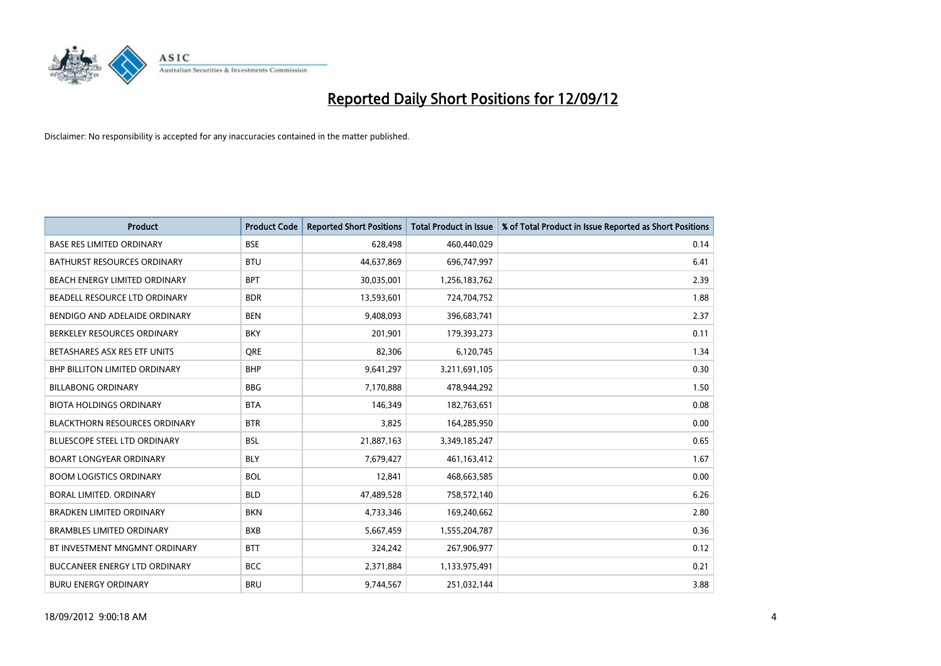

| <b>Product</b>                       | <b>Product Code</b> | <b>Reported Short Positions</b> | <b>Total Product in Issue</b> | % of Total Product in Issue Reported as Short Positions |
|--------------------------------------|---------------------|---------------------------------|-------------------------------|---------------------------------------------------------|
| <b>BASE RES LIMITED ORDINARY</b>     | <b>BSE</b>          | 628,498                         | 460,440,029                   | 0.14                                                    |
| BATHURST RESOURCES ORDINARY          | <b>BTU</b>          | 44,637,869                      | 696,747,997                   | 6.41                                                    |
| <b>BEACH ENERGY LIMITED ORDINARY</b> | <b>BPT</b>          | 30,035,001                      | 1,256,183,762                 | 2.39                                                    |
| BEADELL RESOURCE LTD ORDINARY        | <b>BDR</b>          | 13,593,601                      | 724,704,752                   | 1.88                                                    |
| BENDIGO AND ADELAIDE ORDINARY        | <b>BEN</b>          | 9,408,093                       | 396,683,741                   | 2.37                                                    |
| BERKELEY RESOURCES ORDINARY          | <b>BKY</b>          | 201,901                         | 179,393,273                   | 0.11                                                    |
| BETASHARES ASX RES ETF UNITS         | <b>ORE</b>          | 82,306                          | 6,120,745                     | 1.34                                                    |
| <b>BHP BILLITON LIMITED ORDINARY</b> | <b>BHP</b>          | 9,641,297                       | 3,211,691,105                 | 0.30                                                    |
| <b>BILLABONG ORDINARY</b>            | <b>BBG</b>          | 7,170,888                       | 478,944,292                   | 1.50                                                    |
| <b>BIOTA HOLDINGS ORDINARY</b>       | <b>BTA</b>          | 146,349                         | 182,763,651                   | 0.08                                                    |
| <b>BLACKTHORN RESOURCES ORDINARY</b> | <b>BTR</b>          | 3,825                           | 164,285,950                   | 0.00                                                    |
| <b>BLUESCOPE STEEL LTD ORDINARY</b>  | <b>BSL</b>          | 21,887,163                      | 3,349,185,247                 | 0.65                                                    |
| <b>BOART LONGYEAR ORDINARY</b>       | <b>BLY</b>          | 7,679,427                       | 461,163,412                   | 1.67                                                    |
| <b>BOOM LOGISTICS ORDINARY</b>       | <b>BOL</b>          | 12,841                          | 468,663,585                   | 0.00                                                    |
| BORAL LIMITED, ORDINARY              | <b>BLD</b>          | 47,489,528                      | 758,572,140                   | 6.26                                                    |
| <b>BRADKEN LIMITED ORDINARY</b>      | <b>BKN</b>          | 4,733,346                       | 169,240,662                   | 2.80                                                    |
| <b>BRAMBLES LIMITED ORDINARY</b>     | <b>BXB</b>          | 5,667,459                       | 1,555,204,787                 | 0.36                                                    |
| BT INVESTMENT MNGMNT ORDINARY        | <b>BTT</b>          | 324,242                         | 267,906,977                   | 0.12                                                    |
| <b>BUCCANEER ENERGY LTD ORDINARY</b> | <b>BCC</b>          | 2,371,884                       | 1,133,975,491                 | 0.21                                                    |
| <b>BURU ENERGY ORDINARY</b>          | <b>BRU</b>          | 9,744,567                       | 251,032,144                   | 3.88                                                    |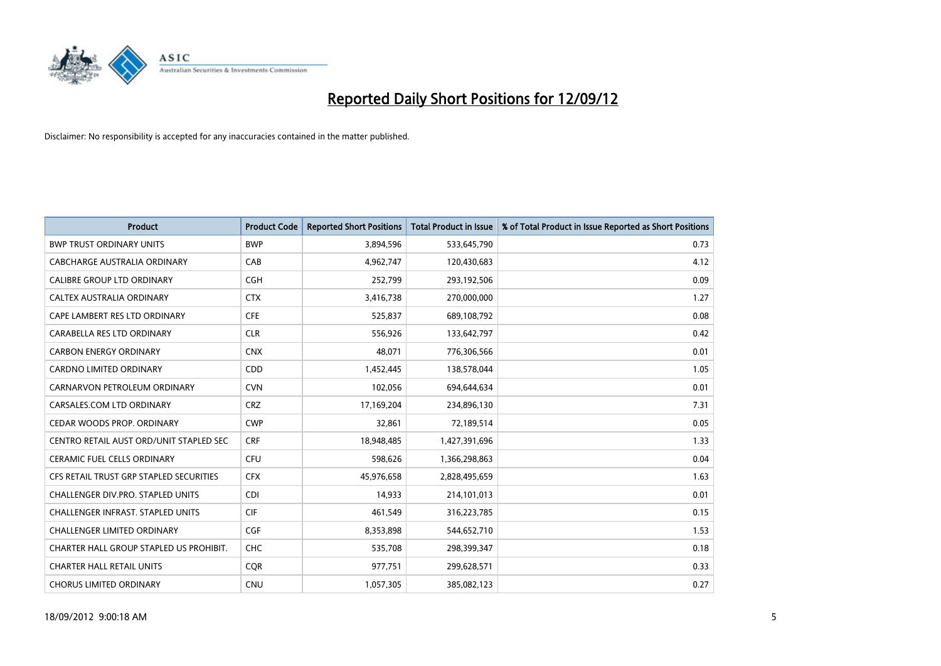

| <b>Product</b>                          | <b>Product Code</b> | <b>Reported Short Positions</b> | <b>Total Product in Issue</b> | % of Total Product in Issue Reported as Short Positions |
|-----------------------------------------|---------------------|---------------------------------|-------------------------------|---------------------------------------------------------|
| <b>BWP TRUST ORDINARY UNITS</b>         | <b>BWP</b>          | 3,894,596                       | 533,645,790                   | 0.73                                                    |
| CABCHARGE AUSTRALIA ORDINARY            | CAB                 | 4,962,747                       | 120,430,683                   | 4.12                                                    |
| <b>CALIBRE GROUP LTD ORDINARY</b>       | <b>CGH</b>          | 252,799                         | 293,192,506                   | 0.09                                                    |
| CALTEX AUSTRALIA ORDINARY               | <b>CTX</b>          | 3,416,738                       | 270,000,000                   | 1.27                                                    |
| CAPE LAMBERT RES LTD ORDINARY           | <b>CFE</b>          | 525,837                         | 689,108,792                   | 0.08                                                    |
| CARABELLA RES LTD ORDINARY              | <b>CLR</b>          | 556,926                         | 133,642,797                   | 0.42                                                    |
| <b>CARBON ENERGY ORDINARY</b>           | <b>CNX</b>          | 48,071                          | 776,306,566                   | 0.01                                                    |
| <b>CARDNO LIMITED ORDINARY</b>          | CDD                 | 1,452,445                       | 138,578,044                   | 1.05                                                    |
| CARNARVON PETROLEUM ORDINARY            | <b>CVN</b>          | 102,056                         | 694,644,634                   | 0.01                                                    |
| CARSALES.COM LTD ORDINARY               | <b>CRZ</b>          | 17,169,204                      | 234,896,130                   | 7.31                                                    |
| CEDAR WOODS PROP. ORDINARY              | <b>CWP</b>          | 32,861                          | 72,189,514                    | 0.05                                                    |
| CENTRO RETAIL AUST ORD/UNIT STAPLED SEC | <b>CRF</b>          | 18,948,485                      | 1,427,391,696                 | 1.33                                                    |
| <b>CERAMIC FUEL CELLS ORDINARY</b>      | <b>CFU</b>          | 598,626                         | 1,366,298,863                 | 0.04                                                    |
| CFS RETAIL TRUST GRP STAPLED SECURITIES | <b>CFX</b>          | 45,976,658                      | 2,828,495,659                 | 1.63                                                    |
| CHALLENGER DIV.PRO. STAPLED UNITS       | <b>CDI</b>          | 14,933                          | 214,101,013                   | 0.01                                                    |
| CHALLENGER INFRAST. STAPLED UNITS       | <b>CIF</b>          | 461,549                         | 316,223,785                   | 0.15                                                    |
| CHALLENGER LIMITED ORDINARY             | <b>CGF</b>          | 8,353,898                       | 544,652,710                   | 1.53                                                    |
| CHARTER HALL GROUP STAPLED US PROHIBIT. | <b>CHC</b>          | 535,708                         | 298,399,347                   | 0.18                                                    |
| <b>CHARTER HALL RETAIL UNITS</b>        | <b>COR</b>          | 977,751                         | 299,628,571                   | 0.33                                                    |
| <b>CHORUS LIMITED ORDINARY</b>          | <b>CNU</b>          | 1,057,305                       | 385,082,123                   | 0.27                                                    |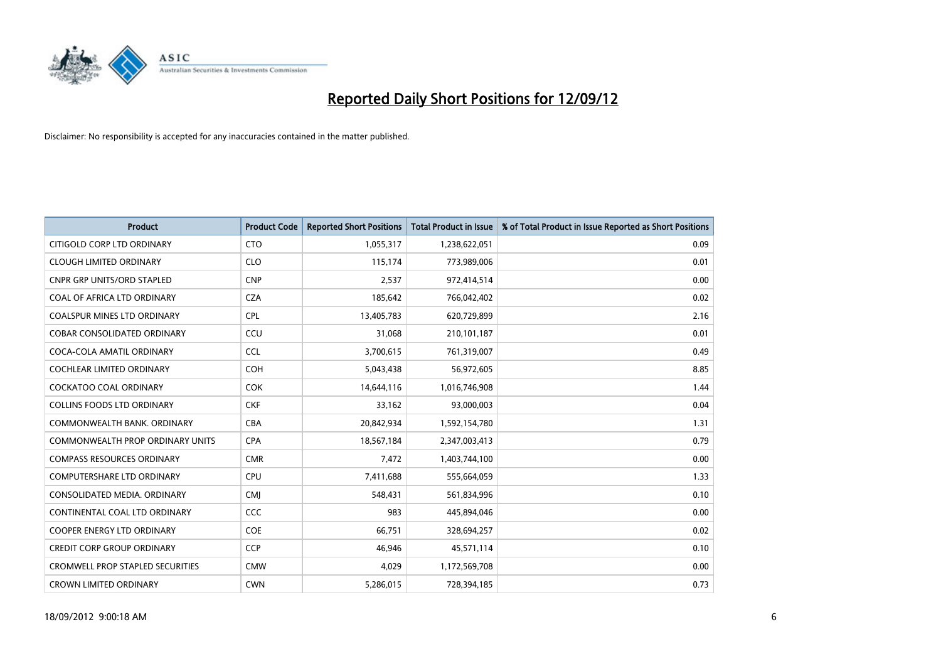

| <b>Product</b>                          | <b>Product Code</b> | <b>Reported Short Positions</b> | <b>Total Product in Issue</b> | % of Total Product in Issue Reported as Short Positions |
|-----------------------------------------|---------------------|---------------------------------|-------------------------------|---------------------------------------------------------|
| CITIGOLD CORP LTD ORDINARY              | <b>CTO</b>          | 1,055,317                       | 1,238,622,051                 | 0.09                                                    |
| <b>CLOUGH LIMITED ORDINARY</b>          | <b>CLO</b>          | 115,174                         | 773,989,006                   | 0.01                                                    |
| <b>CNPR GRP UNITS/ORD STAPLED</b>       | <b>CNP</b>          | 2,537                           | 972,414,514                   | 0.00                                                    |
| COAL OF AFRICA LTD ORDINARY             | <b>CZA</b>          | 185,642                         | 766,042,402                   | 0.02                                                    |
| <b>COALSPUR MINES LTD ORDINARY</b>      | CPL                 | 13,405,783                      | 620,729,899                   | 2.16                                                    |
| <b>COBAR CONSOLIDATED ORDINARY</b>      | CCU                 | 31,068                          | 210,101,187                   | 0.01                                                    |
| COCA-COLA AMATIL ORDINARY               | <b>CCL</b>          | 3,700,615                       | 761,319,007                   | 0.49                                                    |
| COCHLEAR LIMITED ORDINARY               | <b>COH</b>          | 5,043,438                       | 56,972,605                    | 8.85                                                    |
| COCKATOO COAL ORDINARY                  | <b>COK</b>          | 14,644,116                      | 1,016,746,908                 | 1.44                                                    |
| <b>COLLINS FOODS LTD ORDINARY</b>       | <b>CKF</b>          | 33,162                          | 93,000,003                    | 0.04                                                    |
| COMMONWEALTH BANK, ORDINARY             | <b>CBA</b>          | 20,842,934                      | 1,592,154,780                 | 1.31                                                    |
| <b>COMMONWEALTH PROP ORDINARY UNITS</b> | <b>CPA</b>          | 18,567,184                      | 2,347,003,413                 | 0.79                                                    |
| <b>COMPASS RESOURCES ORDINARY</b>       | <b>CMR</b>          | 7,472                           | 1,403,744,100                 | 0.00                                                    |
| <b>COMPUTERSHARE LTD ORDINARY</b>       | CPU                 | 7,411,688                       | 555,664,059                   | 1.33                                                    |
| CONSOLIDATED MEDIA, ORDINARY            | <b>CMI</b>          | 548,431                         | 561,834,996                   | 0.10                                                    |
| CONTINENTAL COAL LTD ORDINARY           | CCC                 | 983                             | 445,894,046                   | 0.00                                                    |
| <b>COOPER ENERGY LTD ORDINARY</b>       | <b>COE</b>          | 66,751                          | 328,694,257                   | 0.02                                                    |
| <b>CREDIT CORP GROUP ORDINARY</b>       | <b>CCP</b>          | 46,946                          | 45,571,114                    | 0.10                                                    |
| <b>CROMWELL PROP STAPLED SECURITIES</b> | <b>CMW</b>          | 4,029                           | 1,172,569,708                 | 0.00                                                    |
| <b>CROWN LIMITED ORDINARY</b>           | <b>CWN</b>          | 5,286,015                       | 728,394,185                   | 0.73                                                    |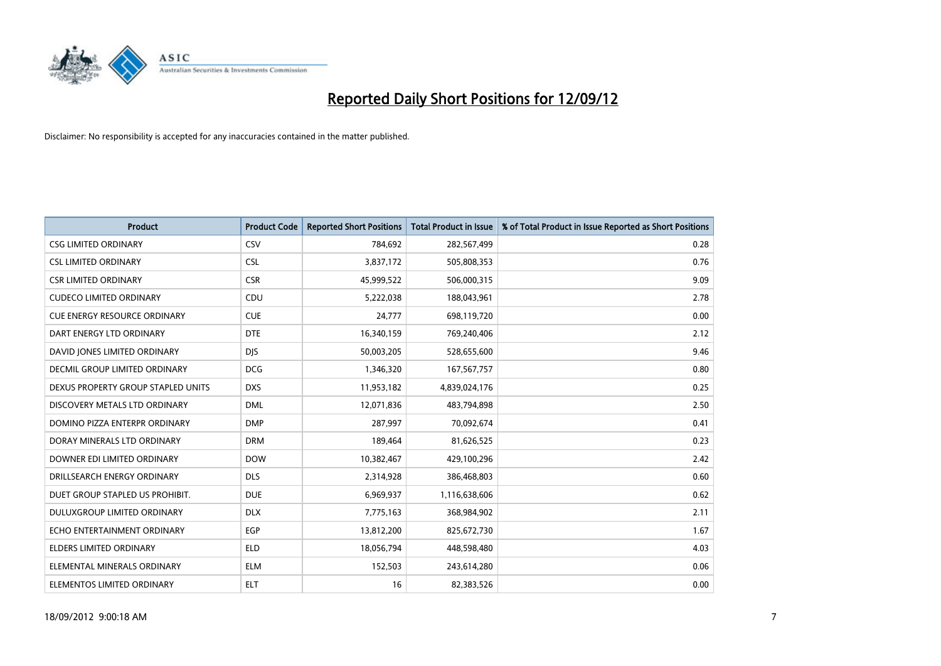

| <b>Product</b>                      | <b>Product Code</b> | <b>Reported Short Positions</b> | <b>Total Product in Issue</b> | % of Total Product in Issue Reported as Short Positions |
|-------------------------------------|---------------------|---------------------------------|-------------------------------|---------------------------------------------------------|
| <b>CSG LIMITED ORDINARY</b>         | CSV                 | 784,692                         | 282,567,499                   | 0.28                                                    |
| <b>CSL LIMITED ORDINARY</b>         | <b>CSL</b>          | 3,837,172                       | 505,808,353                   | 0.76                                                    |
| <b>CSR LIMITED ORDINARY</b>         | <b>CSR</b>          | 45,999,522                      | 506,000,315                   | 9.09                                                    |
| <b>CUDECO LIMITED ORDINARY</b>      | CDU                 | 5,222,038                       | 188,043,961                   | 2.78                                                    |
| <b>CUE ENERGY RESOURCE ORDINARY</b> | <b>CUE</b>          | 24,777                          | 698,119,720                   | 0.00                                                    |
| DART ENERGY LTD ORDINARY            | <b>DTE</b>          | 16,340,159                      | 769,240,406                   | 2.12                                                    |
| DAVID JONES LIMITED ORDINARY        | <b>DIS</b>          | 50,003,205                      | 528,655,600                   | 9.46                                                    |
| DECMIL GROUP LIMITED ORDINARY       | <b>DCG</b>          | 1,346,320                       | 167,567,757                   | 0.80                                                    |
| DEXUS PROPERTY GROUP STAPLED UNITS  | <b>DXS</b>          | 11,953,182                      | 4,839,024,176                 | 0.25                                                    |
| DISCOVERY METALS LTD ORDINARY       | <b>DML</b>          | 12,071,836                      | 483,794,898                   | 2.50                                                    |
| DOMINO PIZZA ENTERPR ORDINARY       | <b>DMP</b>          | 287,997                         | 70,092,674                    | 0.41                                                    |
| DORAY MINERALS LTD ORDINARY         | <b>DRM</b>          | 189,464                         | 81,626,525                    | 0.23                                                    |
| DOWNER EDI LIMITED ORDINARY         | <b>DOW</b>          | 10,382,467                      | 429,100,296                   | 2.42                                                    |
| DRILLSEARCH ENERGY ORDINARY         | <b>DLS</b>          | 2,314,928                       | 386,468,803                   | 0.60                                                    |
| DUET GROUP STAPLED US PROHIBIT.     | <b>DUE</b>          | 6,969,937                       | 1,116,638,606                 | 0.62                                                    |
| <b>DULUXGROUP LIMITED ORDINARY</b>  | <b>DLX</b>          | 7,775,163                       | 368,984,902                   | 2.11                                                    |
| ECHO ENTERTAINMENT ORDINARY         | <b>EGP</b>          | 13,812,200                      | 825,672,730                   | 1.67                                                    |
| ELDERS LIMITED ORDINARY             | <b>ELD</b>          | 18,056,794                      | 448,598,480                   | 4.03                                                    |
| ELEMENTAL MINERALS ORDINARY         | <b>ELM</b>          | 152,503                         | 243,614,280                   | 0.06                                                    |
| ELEMENTOS LIMITED ORDINARY          | ELT                 | 16                              | 82,383,526                    | 0.00                                                    |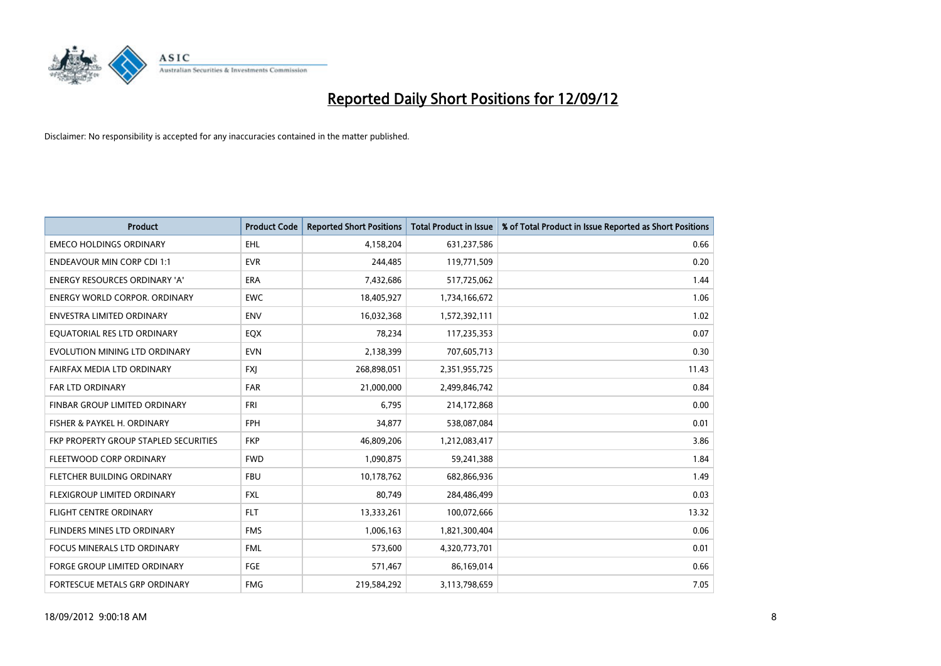

| <b>Product</b>                        | <b>Product Code</b> | <b>Reported Short Positions</b> | <b>Total Product in Issue</b> | % of Total Product in Issue Reported as Short Positions |
|---------------------------------------|---------------------|---------------------------------|-------------------------------|---------------------------------------------------------|
| <b>EMECO HOLDINGS ORDINARY</b>        | <b>EHL</b>          | 4,158,204                       | 631,237,586                   | 0.66                                                    |
| <b>ENDEAVOUR MIN CORP CDI 1:1</b>     | <b>EVR</b>          | 244,485                         | 119,771,509                   | 0.20                                                    |
| <b>ENERGY RESOURCES ORDINARY 'A'</b>  | <b>ERA</b>          | 7,432,686                       | 517,725,062                   | 1.44                                                    |
| <b>ENERGY WORLD CORPOR. ORDINARY</b>  | <b>EWC</b>          | 18,405,927                      | 1,734,166,672                 | 1.06                                                    |
| <b>ENVESTRA LIMITED ORDINARY</b>      | <b>ENV</b>          | 16,032,368                      | 1,572,392,111                 | 1.02                                                    |
| EQUATORIAL RES LTD ORDINARY           | EQX                 | 78,234                          | 117,235,353                   | 0.07                                                    |
| EVOLUTION MINING LTD ORDINARY         | <b>EVN</b>          | 2,138,399                       | 707,605,713                   | 0.30                                                    |
| FAIRFAX MEDIA LTD ORDINARY            | <b>FXI</b>          | 268,898,051                     | 2,351,955,725                 | 11.43                                                   |
| FAR LTD ORDINARY                      | <b>FAR</b>          | 21,000,000                      | 2,499,846,742                 | 0.84                                                    |
| FINBAR GROUP LIMITED ORDINARY         | <b>FRI</b>          | 6.795                           | 214,172,868                   | 0.00                                                    |
| FISHER & PAYKEL H. ORDINARY           | <b>FPH</b>          | 34,877                          | 538,087,084                   | 0.01                                                    |
| FKP PROPERTY GROUP STAPLED SECURITIES | <b>FKP</b>          | 46,809,206                      | 1,212,083,417                 | 3.86                                                    |
| FLEETWOOD CORP ORDINARY               | <b>FWD</b>          | 1,090,875                       | 59,241,388                    | 1.84                                                    |
| FLETCHER BUILDING ORDINARY            | <b>FBU</b>          | 10,178,762                      | 682,866,936                   | 1.49                                                    |
| <b>FLEXIGROUP LIMITED ORDINARY</b>    | <b>FXL</b>          | 80,749                          | 284,486,499                   | 0.03                                                    |
| <b>FLIGHT CENTRE ORDINARY</b>         | <b>FLT</b>          | 13,333,261                      | 100,072,666                   | 13.32                                                   |
| FLINDERS MINES LTD ORDINARY           | <b>FMS</b>          | 1,006,163                       | 1,821,300,404                 | 0.06                                                    |
| FOCUS MINERALS LTD ORDINARY           | <b>FML</b>          | 573,600                         | 4,320,773,701                 | 0.01                                                    |
| <b>FORGE GROUP LIMITED ORDINARY</b>   | FGE                 | 571,467                         | 86,169,014                    | 0.66                                                    |
| <b>FORTESCUE METALS GRP ORDINARY</b>  | <b>FMG</b>          | 219.584.292                     | 3,113,798,659                 | 7.05                                                    |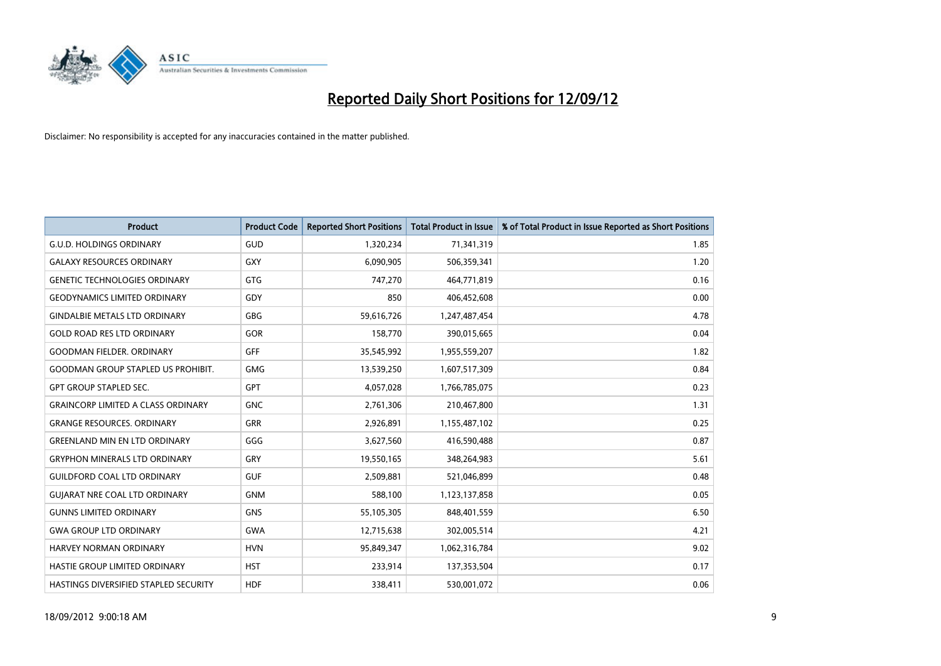

| <b>Product</b>                            | <b>Product Code</b> | <b>Reported Short Positions</b> | <b>Total Product in Issue</b> | % of Total Product in Issue Reported as Short Positions |
|-------------------------------------------|---------------------|---------------------------------|-------------------------------|---------------------------------------------------------|
| <b>G.U.D. HOLDINGS ORDINARY</b>           | GUD                 | 1,320,234                       | 71,341,319                    | 1.85                                                    |
| <b>GALAXY RESOURCES ORDINARY</b>          | GXY                 | 6,090,905                       | 506,359,341                   | 1.20                                                    |
| <b>GENETIC TECHNOLOGIES ORDINARY</b>      | <b>GTG</b>          | 747,270                         | 464,771,819                   | 0.16                                                    |
| <b>GEODYNAMICS LIMITED ORDINARY</b>       | GDY                 | 850                             | 406,452,608                   | 0.00                                                    |
| <b>GINDALBIE METALS LTD ORDINARY</b>      | <b>GBG</b>          | 59,616,726                      | 1,247,487,454                 | 4.78                                                    |
| <b>GOLD ROAD RES LTD ORDINARY</b>         | GOR                 | 158,770                         | 390,015,665                   | 0.04                                                    |
| <b>GOODMAN FIELDER. ORDINARY</b>          | <b>GFF</b>          | 35,545,992                      | 1,955,559,207                 | 1.82                                                    |
| <b>GOODMAN GROUP STAPLED US PROHIBIT.</b> | <b>GMG</b>          | 13,539,250                      | 1,607,517,309                 | 0.84                                                    |
| <b>GPT GROUP STAPLED SEC.</b>             | <b>GPT</b>          | 4,057,028                       | 1,766,785,075                 | 0.23                                                    |
| <b>GRAINCORP LIMITED A CLASS ORDINARY</b> | <b>GNC</b>          | 2,761,306                       | 210,467,800                   | 1.31                                                    |
| <b>GRANGE RESOURCES. ORDINARY</b>         | <b>GRR</b>          | 2,926,891                       | 1,155,487,102                 | 0.25                                                    |
| <b>GREENLAND MIN EN LTD ORDINARY</b>      | GGG                 | 3,627,560                       | 416,590,488                   | 0.87                                                    |
| <b>GRYPHON MINERALS LTD ORDINARY</b>      | GRY                 | 19,550,165                      | 348,264,983                   | 5.61                                                    |
| <b>GUILDFORD COAL LTD ORDINARY</b>        | <b>GUF</b>          | 2,509,881                       | 521,046,899                   | 0.48                                                    |
| <b>GUIARAT NRE COAL LTD ORDINARY</b>      | <b>GNM</b>          | 588,100                         | 1,123,137,858                 | 0.05                                                    |
| <b>GUNNS LIMITED ORDINARY</b>             | <b>GNS</b>          | 55,105,305                      | 848,401,559                   | 6.50                                                    |
| <b>GWA GROUP LTD ORDINARY</b>             | <b>GWA</b>          | 12,715,638                      | 302,005,514                   | 4.21                                                    |
| <b>HARVEY NORMAN ORDINARY</b>             | <b>HVN</b>          | 95,849,347                      | 1,062,316,784                 | 9.02                                                    |
| HASTIE GROUP LIMITED ORDINARY             | <b>HST</b>          | 233,914                         | 137,353,504                   | 0.17                                                    |
| HASTINGS DIVERSIFIED STAPLED SECURITY     | <b>HDF</b>          | 338,411                         | 530,001,072                   | 0.06                                                    |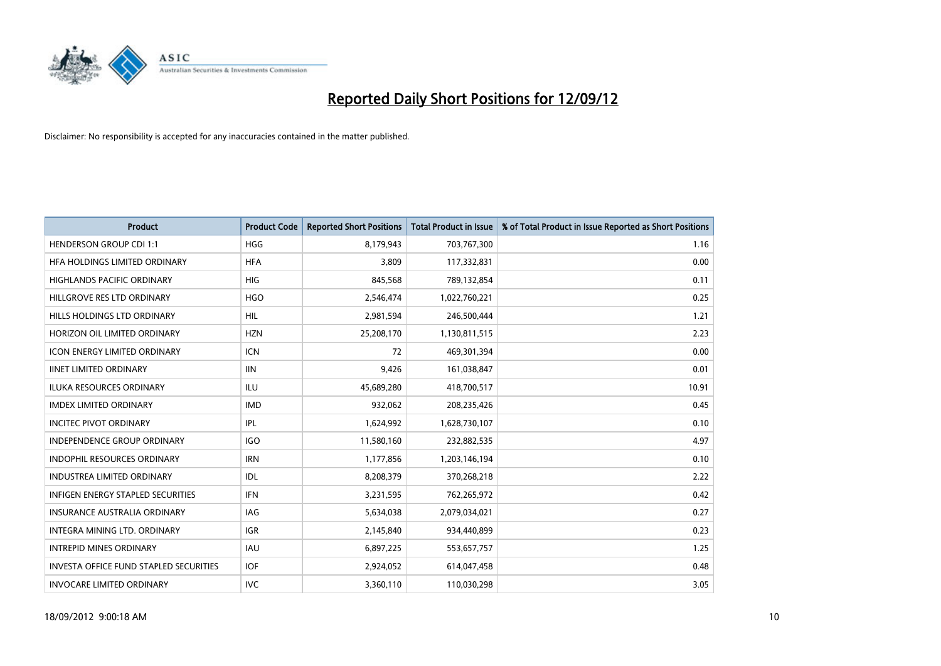

| <b>Product</b>                                | <b>Product Code</b> | <b>Reported Short Positions</b> | <b>Total Product in Issue</b> | % of Total Product in Issue Reported as Short Positions |
|-----------------------------------------------|---------------------|---------------------------------|-------------------------------|---------------------------------------------------------|
| <b>HENDERSON GROUP CDI 1:1</b>                | <b>HGG</b>          | 8,179,943                       | 703,767,300                   | 1.16                                                    |
| HFA HOLDINGS LIMITED ORDINARY                 | <b>HFA</b>          | 3,809                           | 117,332,831                   | 0.00                                                    |
| <b>HIGHLANDS PACIFIC ORDINARY</b>             | <b>HIG</b>          | 845,568                         | 789,132,854                   | 0.11                                                    |
| HILLGROVE RES LTD ORDINARY                    | <b>HGO</b>          | 2,546,474                       | 1,022,760,221                 | 0.25                                                    |
| HILLS HOLDINGS LTD ORDINARY                   | <b>HIL</b>          | 2,981,594                       | 246,500,444                   | 1.21                                                    |
| HORIZON OIL LIMITED ORDINARY                  | <b>HZN</b>          | 25,208,170                      | 1,130,811,515                 | 2.23                                                    |
| <b>ICON ENERGY LIMITED ORDINARY</b>           | <b>ICN</b>          | 72                              | 469,301,394                   | 0.00                                                    |
| <b>IINET LIMITED ORDINARY</b>                 | <b>IIN</b>          | 9,426                           | 161,038,847                   | 0.01                                                    |
| <b>ILUKA RESOURCES ORDINARY</b>               | ILU                 | 45,689,280                      | 418,700,517                   | 10.91                                                   |
| <b>IMDEX LIMITED ORDINARY</b>                 | <b>IMD</b>          | 932,062                         | 208,235,426                   | 0.45                                                    |
| <b>INCITEC PIVOT ORDINARY</b>                 | IPL                 | 1,624,992                       | 1,628,730,107                 | 0.10                                                    |
| <b>INDEPENDENCE GROUP ORDINARY</b>            | <b>IGO</b>          | 11,580,160                      | 232,882,535                   | 4.97                                                    |
| INDOPHIL RESOURCES ORDINARY                   | <b>IRN</b>          | 1,177,856                       | 1,203,146,194                 | 0.10                                                    |
| <b>INDUSTREA LIMITED ORDINARY</b>             | IDL                 | 8,208,379                       | 370,268,218                   | 2.22                                                    |
| <b>INFIGEN ENERGY STAPLED SECURITIES</b>      | <b>IFN</b>          | 3,231,595                       | 762,265,972                   | 0.42                                                    |
| INSURANCE AUSTRALIA ORDINARY                  | IAG                 | 5,634,038                       | 2,079,034,021                 | 0.27                                                    |
| INTEGRA MINING LTD. ORDINARY                  | <b>IGR</b>          | 2,145,840                       | 934,440,899                   | 0.23                                                    |
| INTREPID MINES ORDINARY                       | <b>IAU</b>          | 6,897,225                       | 553,657,757                   | 1.25                                                    |
| <b>INVESTA OFFICE FUND STAPLED SECURITIES</b> | <b>IOF</b>          | 2,924,052                       | 614,047,458                   | 0.48                                                    |
| <b>INVOCARE LIMITED ORDINARY</b>              | IVC                 | 3,360,110                       | 110,030,298                   | 3.05                                                    |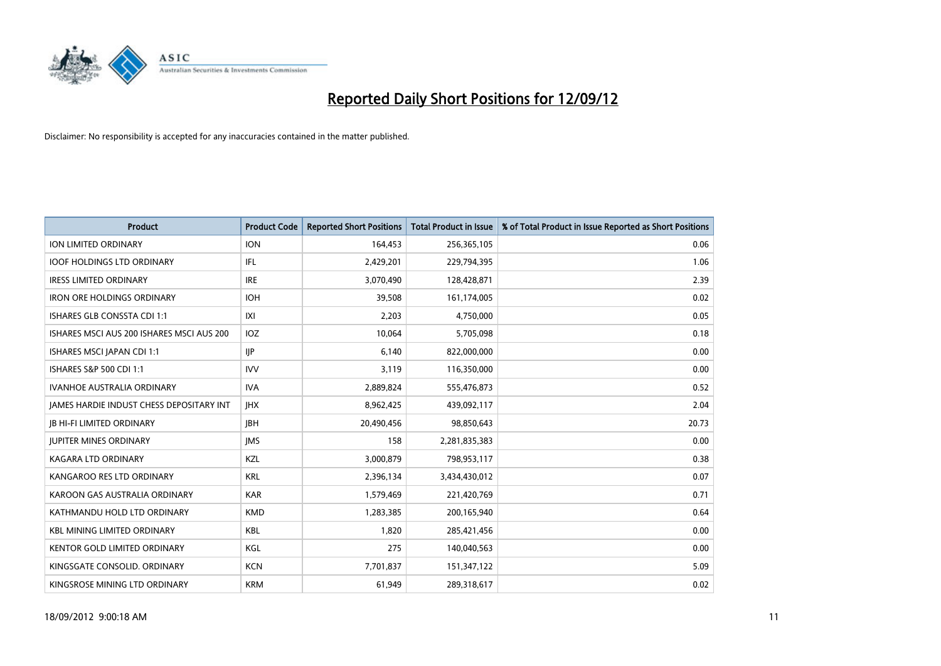

| <b>Product</b>                                  | <b>Product Code</b> | <b>Reported Short Positions</b> | <b>Total Product in Issue</b> | % of Total Product in Issue Reported as Short Positions |
|-------------------------------------------------|---------------------|---------------------------------|-------------------------------|---------------------------------------------------------|
| <b>ION LIMITED ORDINARY</b>                     | <b>ION</b>          | 164,453                         | 256,365,105                   | 0.06                                                    |
| <b>IOOF HOLDINGS LTD ORDINARY</b>               | IFL                 | 2,429,201                       | 229,794,395                   | 1.06                                                    |
| <b>IRESS LIMITED ORDINARY</b>                   | <b>IRE</b>          | 3,070,490                       | 128,428,871                   | 2.39                                                    |
| <b>IRON ORE HOLDINGS ORDINARY</b>               | <b>IOH</b>          | 39,508                          | 161,174,005                   | 0.02                                                    |
| <b>ISHARES GLB CONSSTA CDI 1:1</b>              | X                   | 2,203                           | 4,750,000                     | 0.05                                                    |
| ISHARES MSCI AUS 200 ISHARES MSCI AUS 200       | IOZ                 | 10,064                          | 5,705,098                     | 0.18                                                    |
| ISHARES MSCI JAPAN CDI 1:1                      | <b>IIP</b>          | 6,140                           | 822,000,000                   | 0.00                                                    |
| ISHARES S&P 500 CDI 1:1                         | <b>IVV</b>          | 3,119                           | 116,350,000                   | 0.00                                                    |
| <b>IVANHOE AUSTRALIA ORDINARY</b>               | <b>IVA</b>          | 2,889,824                       | 555,476,873                   | 0.52                                                    |
| <b>JAMES HARDIE INDUST CHESS DEPOSITARY INT</b> | <b>IHX</b>          | 8,962,425                       | 439,092,117                   | 2.04                                                    |
| <b>JB HI-FI LIMITED ORDINARY</b>                | <b>IBH</b>          | 20,490,456                      | 98,850,643                    | 20.73                                                   |
| <b>JUPITER MINES ORDINARY</b>                   | <b>IMS</b>          | 158                             | 2,281,835,383                 | 0.00                                                    |
| KAGARA LTD ORDINARY                             | <b>KZL</b>          | 3,000,879                       | 798,953,117                   | 0.38                                                    |
| KANGAROO RES LTD ORDINARY                       | <b>KRL</b>          | 2,396,134                       | 3,434,430,012                 | 0.07                                                    |
| KAROON GAS AUSTRALIA ORDINARY                   | <b>KAR</b>          | 1,579,469                       | 221,420,769                   | 0.71                                                    |
| KATHMANDU HOLD LTD ORDINARY                     | <b>KMD</b>          | 1,283,385                       | 200,165,940                   | 0.64                                                    |
| <b>KBL MINING LIMITED ORDINARY</b>              | <b>KBL</b>          | 1,820                           | 285,421,456                   | 0.00                                                    |
| KENTOR GOLD LIMITED ORDINARY                    | KGL                 | 275                             | 140,040,563                   | 0.00                                                    |
| KINGSGATE CONSOLID, ORDINARY                    | <b>KCN</b>          | 7,701,837                       | 151,347,122                   | 5.09                                                    |
| KINGSROSE MINING LTD ORDINARY                   | <b>KRM</b>          | 61,949                          | 289,318,617                   | 0.02                                                    |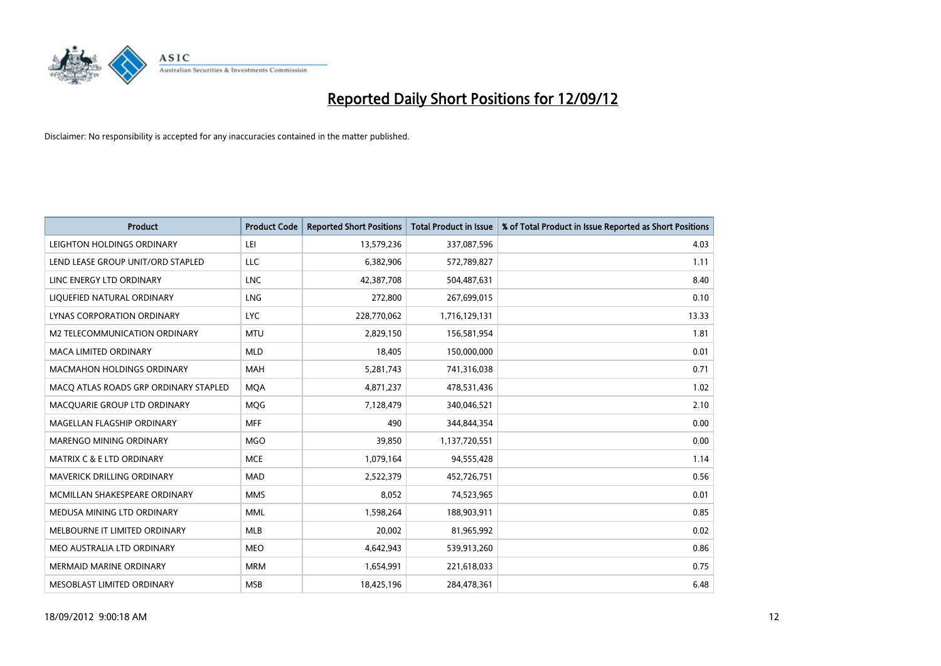

| <b>Product</b>                        | <b>Product Code</b> | <b>Reported Short Positions</b> | <b>Total Product in Issue</b> | % of Total Product in Issue Reported as Short Positions |
|---------------------------------------|---------------------|---------------------------------|-------------------------------|---------------------------------------------------------|
| LEIGHTON HOLDINGS ORDINARY            | LEI                 | 13,579,236                      | 337,087,596                   | 4.03                                                    |
| LEND LEASE GROUP UNIT/ORD STAPLED     | LLC                 | 6,382,906                       | 572,789,827                   | 1.11                                                    |
| LINC ENERGY LTD ORDINARY              | <b>LNC</b>          | 42,387,708                      | 504,487,631                   | 8.40                                                    |
| LIQUEFIED NATURAL ORDINARY            | <b>LNG</b>          | 272,800                         | 267,699,015                   | 0.10                                                    |
| LYNAS CORPORATION ORDINARY            | LYC.                | 228,770,062                     | 1,716,129,131                 | 13.33                                                   |
| M2 TELECOMMUNICATION ORDINARY         | <b>MTU</b>          | 2,829,150                       | 156,581,954                   | 1.81                                                    |
| <b>MACA LIMITED ORDINARY</b>          | <b>MLD</b>          | 18,405                          | 150,000,000                   | 0.01                                                    |
| MACMAHON HOLDINGS ORDINARY            | <b>MAH</b>          | 5,281,743                       | 741,316,038                   | 0.71                                                    |
| MACQ ATLAS ROADS GRP ORDINARY STAPLED | <b>MQA</b>          | 4,871,237                       | 478,531,436                   | 1.02                                                    |
| MACQUARIE GROUP LTD ORDINARY          | <b>MOG</b>          | 7,128,479                       | 340,046,521                   | 2.10                                                    |
| MAGELLAN FLAGSHIP ORDINARY            | <b>MFF</b>          | 490                             | 344,844,354                   | 0.00                                                    |
| <b>MARENGO MINING ORDINARY</b>        | <b>MGO</b>          | 39,850                          | 1,137,720,551                 | 0.00                                                    |
| MATRIX C & E LTD ORDINARY             | <b>MCE</b>          | 1,079,164                       | 94,555,428                    | 1.14                                                    |
| MAVERICK DRILLING ORDINARY            | <b>MAD</b>          | 2,522,379                       | 452,726,751                   | 0.56                                                    |
| MCMILLAN SHAKESPEARE ORDINARY         | <b>MMS</b>          | 8,052                           | 74,523,965                    | 0.01                                                    |
| MEDUSA MINING LTD ORDINARY            | <b>MML</b>          | 1,598,264                       | 188,903,911                   | 0.85                                                    |
| MELBOURNE IT LIMITED ORDINARY         | <b>MLB</b>          | 20,002                          | 81,965,992                    | 0.02                                                    |
| MEO AUSTRALIA LTD ORDINARY            | <b>MEO</b>          | 4,642,943                       | 539,913,260                   | 0.86                                                    |
| <b>MERMAID MARINE ORDINARY</b>        | <b>MRM</b>          | 1,654,991                       | 221,618,033                   | 0.75                                                    |
| MESOBLAST LIMITED ORDINARY            | <b>MSB</b>          | 18,425,196                      | 284,478,361                   | 6.48                                                    |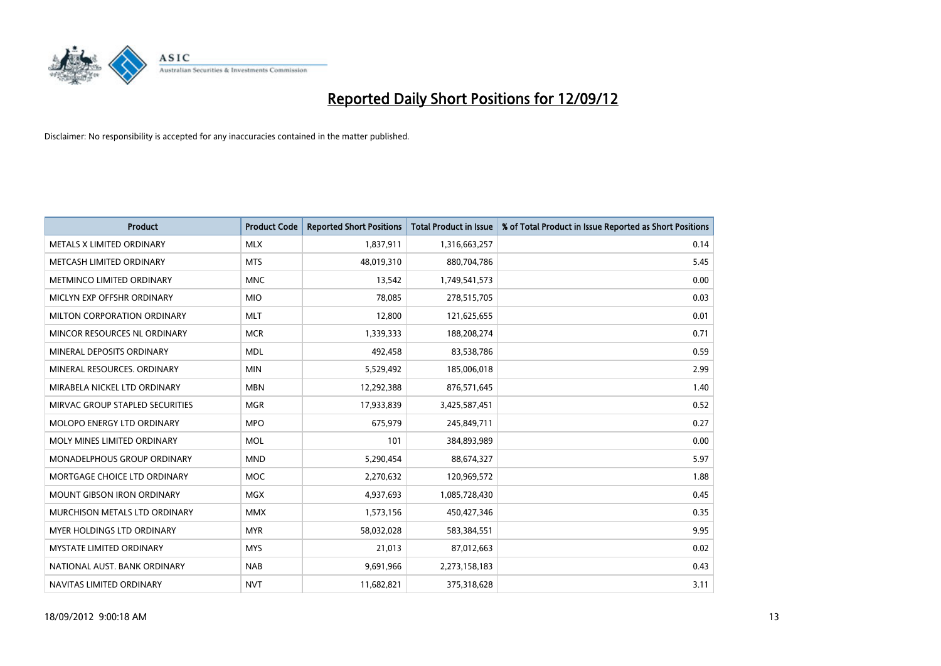

| <b>Product</b>                    | <b>Product Code</b> | <b>Reported Short Positions</b> | <b>Total Product in Issue</b> | % of Total Product in Issue Reported as Short Positions |
|-----------------------------------|---------------------|---------------------------------|-------------------------------|---------------------------------------------------------|
| METALS X LIMITED ORDINARY         | <b>MLX</b>          | 1,837,911                       | 1,316,663,257                 | 0.14                                                    |
| METCASH LIMITED ORDINARY          | <b>MTS</b>          | 48,019,310                      | 880,704,786                   | 5.45                                                    |
| METMINCO LIMITED ORDINARY         | <b>MNC</b>          | 13,542                          | 1,749,541,573                 | 0.00                                                    |
| MICLYN EXP OFFSHR ORDINARY        | <b>MIO</b>          | 78,085                          | 278,515,705                   | 0.03                                                    |
| MILTON CORPORATION ORDINARY       | <b>MLT</b>          | 12,800                          | 121,625,655                   | 0.01                                                    |
| MINCOR RESOURCES NL ORDINARY      | <b>MCR</b>          | 1,339,333                       | 188,208,274                   | 0.71                                                    |
| MINERAL DEPOSITS ORDINARY         | <b>MDL</b>          | 492,458                         | 83,538,786                    | 0.59                                                    |
| MINERAL RESOURCES. ORDINARY       | <b>MIN</b>          | 5,529,492                       | 185,006,018                   | 2.99                                                    |
| MIRABELA NICKEL LTD ORDINARY      | <b>MBN</b>          | 12,292,388                      | 876,571,645                   | 1.40                                                    |
| MIRVAC GROUP STAPLED SECURITIES   | <b>MGR</b>          | 17,933,839                      | 3,425,587,451                 | 0.52                                                    |
| MOLOPO ENERGY LTD ORDINARY        | <b>MPO</b>          | 675,979                         | 245,849,711                   | 0.27                                                    |
| MOLY MINES LIMITED ORDINARY       | <b>MOL</b>          | 101                             | 384,893,989                   | 0.00                                                    |
| MONADELPHOUS GROUP ORDINARY       | <b>MND</b>          | 5,290,454                       | 88,674,327                    | 5.97                                                    |
| MORTGAGE CHOICE LTD ORDINARY      | MOC                 | 2,270,632                       | 120,969,572                   | 1.88                                                    |
| <b>MOUNT GIBSON IRON ORDINARY</b> | <b>MGX</b>          | 4,937,693                       | 1,085,728,430                 | 0.45                                                    |
| MURCHISON METALS LTD ORDINARY     | <b>MMX</b>          | 1,573,156                       | 450,427,346                   | 0.35                                                    |
| MYER HOLDINGS LTD ORDINARY        | <b>MYR</b>          | 58,032,028                      | 583,384,551                   | 9.95                                                    |
| MYSTATE LIMITED ORDINARY          | <b>MYS</b>          | 21,013                          | 87,012,663                    | 0.02                                                    |
| NATIONAL AUST, BANK ORDINARY      | <b>NAB</b>          | 9,691,966                       | 2,273,158,183                 | 0.43                                                    |
| NAVITAS LIMITED ORDINARY          | <b>NVT</b>          | 11,682,821                      | 375,318,628                   | 3.11                                                    |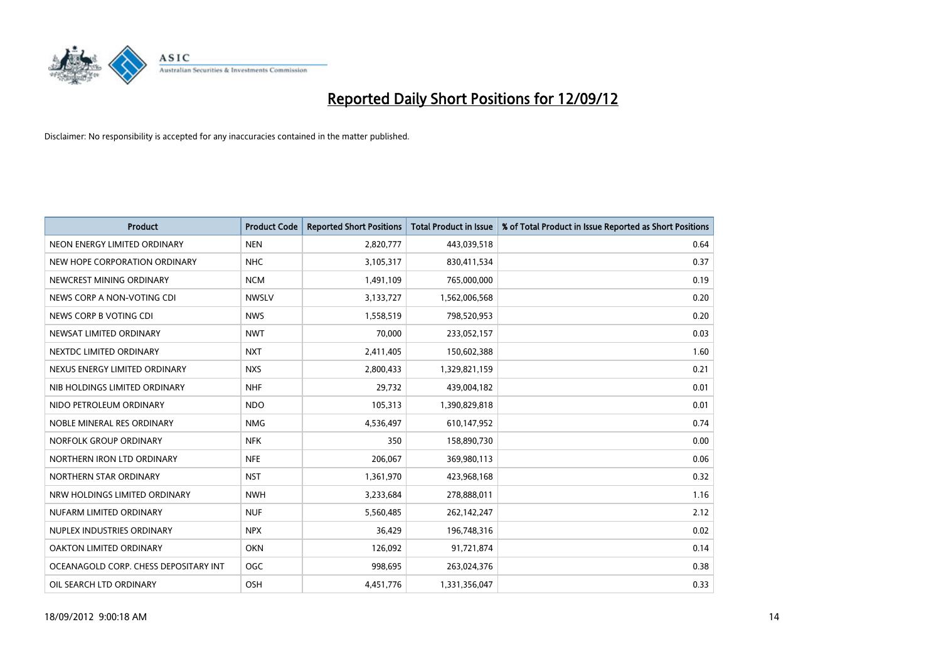

| <b>Product</b>                        | <b>Product Code</b> | <b>Reported Short Positions</b> | <b>Total Product in Issue</b> | % of Total Product in Issue Reported as Short Positions |
|---------------------------------------|---------------------|---------------------------------|-------------------------------|---------------------------------------------------------|
| NEON ENERGY LIMITED ORDINARY          | <b>NEN</b>          | 2,820,777                       | 443,039,518                   | 0.64                                                    |
| NEW HOPE CORPORATION ORDINARY         | <b>NHC</b>          | 3,105,317                       | 830,411,534                   | 0.37                                                    |
| NEWCREST MINING ORDINARY              | <b>NCM</b>          | 1,491,109                       | 765,000,000                   | 0.19                                                    |
| NEWS CORP A NON-VOTING CDI            | <b>NWSLV</b>        | 3,133,727                       | 1,562,006,568                 | 0.20                                                    |
| NEWS CORP B VOTING CDI                | <b>NWS</b>          | 1,558,519                       | 798,520,953                   | 0.20                                                    |
| NEWSAT LIMITED ORDINARY               | <b>NWT</b>          | 70,000                          | 233,052,157                   | 0.03                                                    |
| NEXTDC LIMITED ORDINARY               | <b>NXT</b>          | 2,411,405                       | 150,602,388                   | 1.60                                                    |
| NEXUS ENERGY LIMITED ORDINARY         | <b>NXS</b>          | 2,800,433                       | 1,329,821,159                 | 0.21                                                    |
| NIB HOLDINGS LIMITED ORDINARY         | <b>NHF</b>          | 29,732                          | 439,004,182                   | 0.01                                                    |
| NIDO PETROLEUM ORDINARY               | <b>NDO</b>          | 105,313                         | 1,390,829,818                 | 0.01                                                    |
| NOBLE MINERAL RES ORDINARY            | <b>NMG</b>          | 4,536,497                       | 610,147,952                   | 0.74                                                    |
| NORFOLK GROUP ORDINARY                | <b>NFK</b>          | 350                             | 158,890,730                   | 0.00                                                    |
| NORTHERN IRON LTD ORDINARY            | <b>NFE</b>          | 206,067                         | 369,980,113                   | 0.06                                                    |
| NORTHERN STAR ORDINARY                | <b>NST</b>          | 1,361,970                       | 423,968,168                   | 0.32                                                    |
| NRW HOLDINGS LIMITED ORDINARY         | <b>NWH</b>          | 3,233,684                       | 278,888,011                   | 1.16                                                    |
| NUFARM LIMITED ORDINARY               | <b>NUF</b>          | 5,560,485                       | 262,142,247                   | 2.12                                                    |
| NUPLEX INDUSTRIES ORDINARY            | <b>NPX</b>          | 36,429                          | 196,748,316                   | 0.02                                                    |
| OAKTON LIMITED ORDINARY               | <b>OKN</b>          | 126,092                         | 91,721,874                    | 0.14                                                    |
| OCEANAGOLD CORP. CHESS DEPOSITARY INT | <b>OGC</b>          | 998,695                         | 263,024,376                   | 0.38                                                    |
| OIL SEARCH LTD ORDINARY               | OSH                 | 4,451,776                       | 1,331,356,047                 | 0.33                                                    |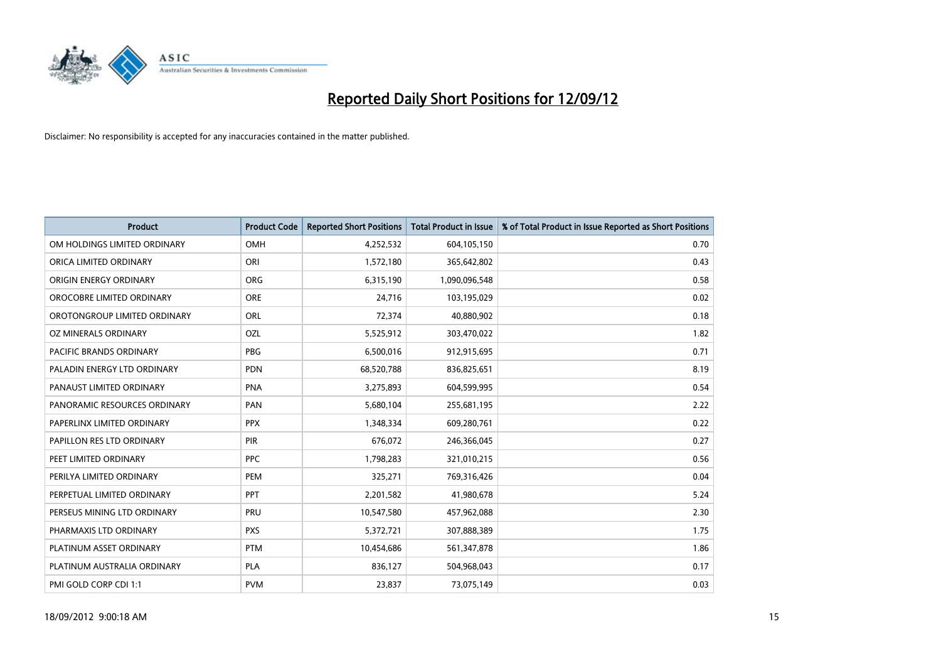

| <b>Product</b>               | <b>Product Code</b> | <b>Reported Short Positions</b> | <b>Total Product in Issue</b> | % of Total Product in Issue Reported as Short Positions |
|------------------------------|---------------------|---------------------------------|-------------------------------|---------------------------------------------------------|
| OM HOLDINGS LIMITED ORDINARY | OMH                 | 4,252,532                       | 604,105,150                   | 0.70                                                    |
| ORICA LIMITED ORDINARY       | ORI                 | 1,572,180                       | 365,642,802                   | 0.43                                                    |
| ORIGIN ENERGY ORDINARY       | <b>ORG</b>          | 6,315,190                       | 1,090,096,548                 | 0.58                                                    |
| OROCOBRE LIMITED ORDINARY    | <b>ORE</b>          | 24,716                          | 103,195,029                   | 0.02                                                    |
| OROTONGROUP LIMITED ORDINARY | <b>ORL</b>          | 72,374                          | 40,880,902                    | 0.18                                                    |
| OZ MINERALS ORDINARY         | OZL                 | 5,525,912                       | 303,470,022                   | 1.82                                                    |
| PACIFIC BRANDS ORDINARY      | <b>PBG</b>          | 6,500,016                       | 912,915,695                   | 0.71                                                    |
| PALADIN ENERGY LTD ORDINARY  | <b>PDN</b>          | 68,520,788                      | 836,825,651                   | 8.19                                                    |
| PANAUST LIMITED ORDINARY     | PNA                 | 3,275,893                       | 604,599,995                   | 0.54                                                    |
| PANORAMIC RESOURCES ORDINARY | PAN                 | 5,680,104                       | 255,681,195                   | 2.22                                                    |
| PAPERLINX LIMITED ORDINARY   | <b>PPX</b>          | 1,348,334                       | 609,280,761                   | 0.22                                                    |
| PAPILLON RES LTD ORDINARY    | PIR                 | 676,072                         | 246,366,045                   | 0.27                                                    |
| PEET LIMITED ORDINARY        | <b>PPC</b>          | 1,798,283                       | 321,010,215                   | 0.56                                                    |
| PERILYA LIMITED ORDINARY     | PEM                 | 325,271                         | 769,316,426                   | 0.04                                                    |
| PERPETUAL LIMITED ORDINARY   | PPT                 | 2,201,582                       | 41,980,678                    | 5.24                                                    |
| PERSEUS MINING LTD ORDINARY  | PRU                 | 10,547,580                      | 457,962,088                   | 2.30                                                    |
| PHARMAXIS LTD ORDINARY       | <b>PXS</b>          | 5,372,721                       | 307,888,389                   | 1.75                                                    |
| PLATINUM ASSET ORDINARY      | <b>PTM</b>          | 10,454,686                      | 561,347,878                   | 1.86                                                    |
| PLATINUM AUSTRALIA ORDINARY  | <b>PLA</b>          | 836,127                         | 504,968,043                   | 0.17                                                    |
| PMI GOLD CORP CDI 1:1        | <b>PVM</b>          | 23,837                          | 73,075,149                    | 0.03                                                    |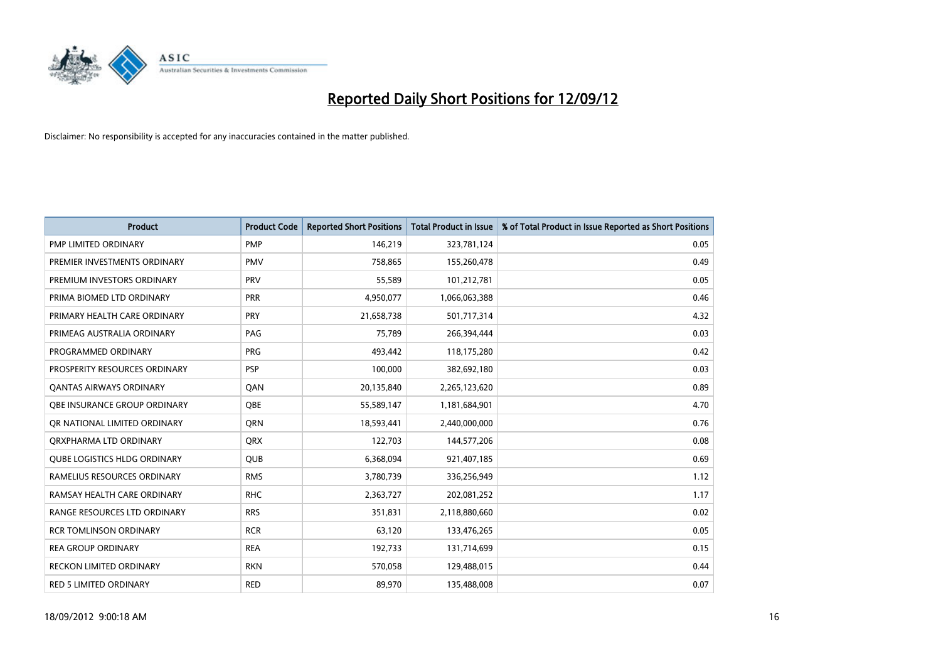

| <b>Product</b>                      | <b>Product Code</b> | <b>Reported Short Positions</b> | <b>Total Product in Issue</b> | % of Total Product in Issue Reported as Short Positions |
|-------------------------------------|---------------------|---------------------------------|-------------------------------|---------------------------------------------------------|
| <b>PMP LIMITED ORDINARY</b>         | <b>PMP</b>          | 146,219                         | 323,781,124                   | 0.05                                                    |
| PREMIER INVESTMENTS ORDINARY        | <b>PMV</b>          | 758,865                         | 155,260,478                   | 0.49                                                    |
| PREMIUM INVESTORS ORDINARY          | <b>PRV</b>          | 55,589                          | 101,212,781                   | 0.05                                                    |
| PRIMA BIOMED LTD ORDINARY           | <b>PRR</b>          | 4,950,077                       | 1,066,063,388                 | 0.46                                                    |
| PRIMARY HEALTH CARE ORDINARY        | <b>PRY</b>          | 21,658,738                      | 501,717,314                   | 4.32                                                    |
| PRIMEAG AUSTRALIA ORDINARY          | PAG                 | 75,789                          | 266,394,444                   | 0.03                                                    |
| PROGRAMMED ORDINARY                 | <b>PRG</b>          | 493,442                         | 118,175,280                   | 0.42                                                    |
| PROSPERITY RESOURCES ORDINARY       | <b>PSP</b>          | 100,000                         | 382,692,180                   | 0.03                                                    |
| <b>QANTAS AIRWAYS ORDINARY</b>      | QAN                 | 20,135,840                      | 2,265,123,620                 | 0.89                                                    |
| OBE INSURANCE GROUP ORDINARY        | <b>OBE</b>          | 55,589,147                      | 1,181,684,901                 | 4.70                                                    |
| OR NATIONAL LIMITED ORDINARY        | <b>ORN</b>          | 18,593,441                      | 2,440,000,000                 | 0.76                                                    |
| ORXPHARMA LTD ORDINARY              | <b>ORX</b>          | 122,703                         | 144,577,206                   | 0.08                                                    |
| <b>QUBE LOGISTICS HLDG ORDINARY</b> | <b>QUB</b>          | 6,368,094                       | 921,407,185                   | 0.69                                                    |
| RAMELIUS RESOURCES ORDINARY         | <b>RMS</b>          | 3,780,739                       | 336,256,949                   | 1.12                                                    |
| RAMSAY HEALTH CARE ORDINARY         | <b>RHC</b>          | 2,363,727                       | 202,081,252                   | 1.17                                                    |
| RANGE RESOURCES LTD ORDINARY        | <b>RRS</b>          | 351,831                         | 2,118,880,660                 | 0.02                                                    |
| <b>RCR TOMLINSON ORDINARY</b>       | <b>RCR</b>          | 63,120                          | 133,476,265                   | 0.05                                                    |
| <b>REA GROUP ORDINARY</b>           | <b>REA</b>          | 192,733                         | 131,714,699                   | 0.15                                                    |
| <b>RECKON LIMITED ORDINARY</b>      | <b>RKN</b>          | 570,058                         | 129,488,015                   | 0.44                                                    |
| RED 5 LIMITED ORDINARY              | <b>RED</b>          | 89,970                          | 135,488,008                   | 0.07                                                    |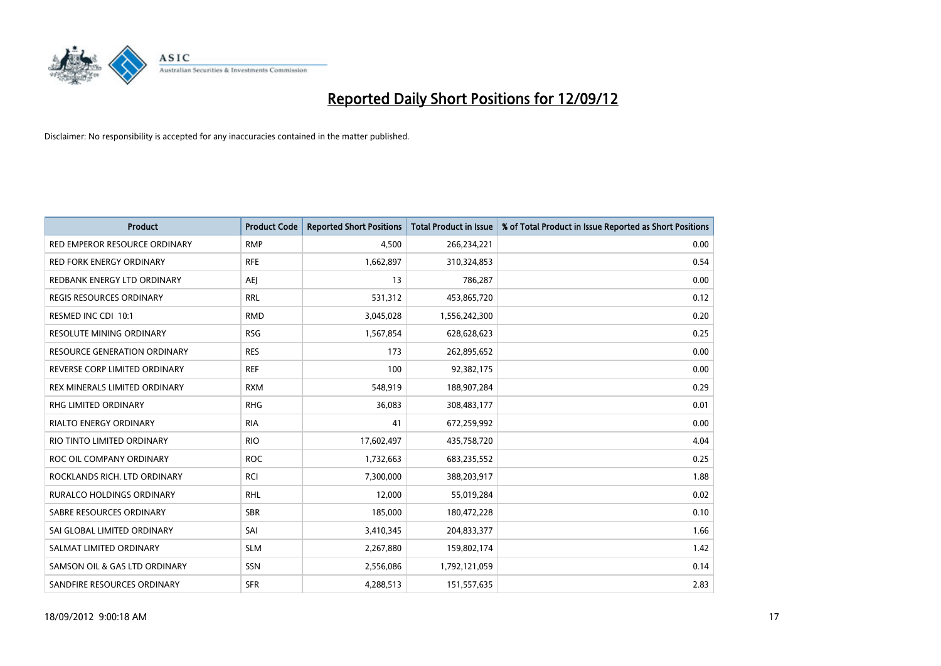

| <b>Product</b>                      | <b>Product Code</b> | <b>Reported Short Positions</b> | <b>Total Product in Issue</b> | % of Total Product in Issue Reported as Short Positions |
|-------------------------------------|---------------------|---------------------------------|-------------------------------|---------------------------------------------------------|
| RED EMPEROR RESOURCE ORDINARY       | <b>RMP</b>          | 4,500                           | 266,234,221                   | 0.00                                                    |
| <b>RED FORK ENERGY ORDINARY</b>     | <b>RFE</b>          | 1,662,897                       | 310,324,853                   | 0.54                                                    |
| REDBANK ENERGY LTD ORDINARY         | AEI                 | 13                              | 786,287                       | 0.00                                                    |
| <b>REGIS RESOURCES ORDINARY</b>     | <b>RRL</b>          | 531,312                         | 453,865,720                   | 0.12                                                    |
| RESMED INC CDI 10:1                 | <b>RMD</b>          | 3,045,028                       | 1,556,242,300                 | 0.20                                                    |
| <b>RESOLUTE MINING ORDINARY</b>     | <b>RSG</b>          | 1,567,854                       | 628,628,623                   | 0.25                                                    |
| <b>RESOURCE GENERATION ORDINARY</b> | <b>RES</b>          | 173                             | 262,895,652                   | 0.00                                                    |
| REVERSE CORP LIMITED ORDINARY       | <b>REF</b>          | 100                             | 92,382,175                    | 0.00                                                    |
| REX MINERALS LIMITED ORDINARY       | <b>RXM</b>          | 548,919                         | 188,907,284                   | 0.29                                                    |
| RHG LIMITED ORDINARY                | <b>RHG</b>          | 36,083                          | 308,483,177                   | 0.01                                                    |
| RIALTO ENERGY ORDINARY              | <b>RIA</b>          | 41                              | 672,259,992                   | 0.00                                                    |
| RIO TINTO LIMITED ORDINARY          | <b>RIO</b>          | 17,602,497                      | 435,758,720                   | 4.04                                                    |
| ROC OIL COMPANY ORDINARY            | <b>ROC</b>          | 1,732,663                       | 683,235,552                   | 0.25                                                    |
| ROCKLANDS RICH. LTD ORDINARY        | <b>RCI</b>          | 7,300,000                       | 388,203,917                   | 1.88                                                    |
| <b>RURALCO HOLDINGS ORDINARY</b>    | <b>RHL</b>          | 12,000                          | 55,019,284                    | 0.02                                                    |
| SABRE RESOURCES ORDINARY            | <b>SBR</b>          | 185,000                         | 180,472,228                   | 0.10                                                    |
| SAI GLOBAL LIMITED ORDINARY         | SAI                 | 3,410,345                       | 204,833,377                   | 1.66                                                    |
| SALMAT LIMITED ORDINARY             | <b>SLM</b>          | 2,267,880                       | 159,802,174                   | 1.42                                                    |
| SAMSON OIL & GAS LTD ORDINARY       | SSN                 | 2,556,086                       | 1,792,121,059                 | 0.14                                                    |
| SANDFIRE RESOURCES ORDINARY         | <b>SFR</b>          | 4,288,513                       | 151,557,635                   | 2.83                                                    |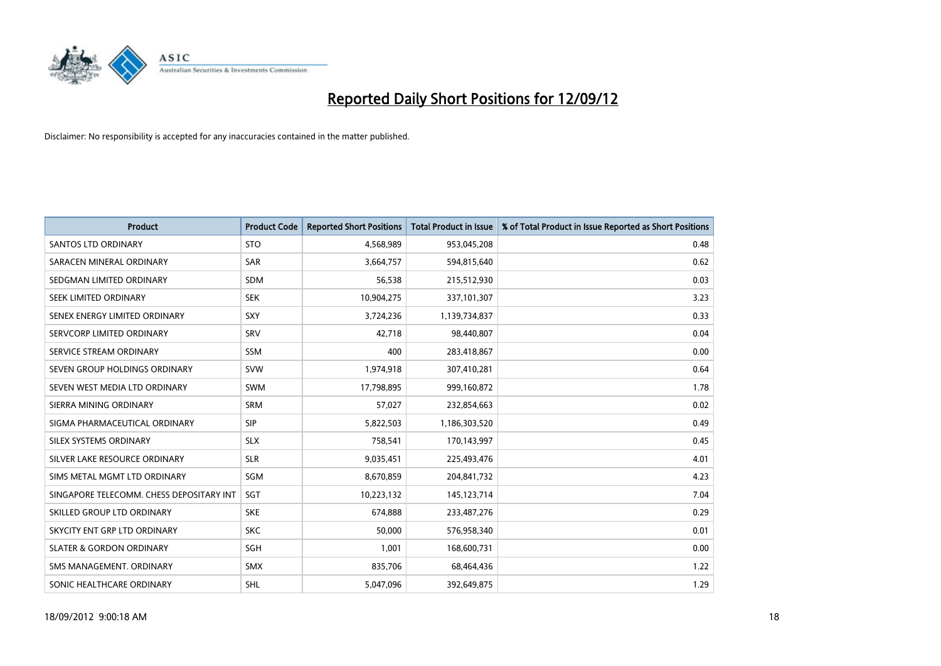

| <b>Product</b>                           | <b>Product Code</b> | <b>Reported Short Positions</b> | <b>Total Product in Issue</b> | % of Total Product in Issue Reported as Short Positions |
|------------------------------------------|---------------------|---------------------------------|-------------------------------|---------------------------------------------------------|
| <b>SANTOS LTD ORDINARY</b>               | <b>STO</b>          | 4,568,989                       | 953,045,208                   | 0.48                                                    |
| SARACEN MINERAL ORDINARY                 | <b>SAR</b>          | 3,664,757                       | 594,815,640                   | 0.62                                                    |
| SEDGMAN LIMITED ORDINARY                 | <b>SDM</b>          | 56,538                          | 215,512,930                   | 0.03                                                    |
| SEEK LIMITED ORDINARY                    | <b>SEK</b>          | 10,904,275                      | 337,101,307                   | 3.23                                                    |
| SENEX ENERGY LIMITED ORDINARY            | <b>SXY</b>          | 3,724,236                       | 1,139,734,837                 | 0.33                                                    |
| SERVCORP LIMITED ORDINARY                | SRV                 | 42,718                          | 98,440,807                    | 0.04                                                    |
| SERVICE STREAM ORDINARY                  | <b>SSM</b>          | 400                             | 283,418,867                   | 0.00                                                    |
| SEVEN GROUP HOLDINGS ORDINARY            | <b>SVW</b>          | 1,974,918                       | 307,410,281                   | 0.64                                                    |
| SEVEN WEST MEDIA LTD ORDINARY            | <b>SWM</b>          | 17,798,895                      | 999,160,872                   | 1.78                                                    |
| SIERRA MINING ORDINARY                   | SRM                 | 57,027                          | 232,854,663                   | 0.02                                                    |
| SIGMA PHARMACEUTICAL ORDINARY            | <b>SIP</b>          | 5,822,503                       | 1,186,303,520                 | 0.49                                                    |
| <b>SILEX SYSTEMS ORDINARY</b>            | <b>SLX</b>          | 758,541                         | 170,143,997                   | 0.45                                                    |
| SILVER LAKE RESOURCE ORDINARY            | <b>SLR</b>          | 9,035,451                       | 225,493,476                   | 4.01                                                    |
| SIMS METAL MGMT LTD ORDINARY             | SGM                 | 8,670,859                       | 204,841,732                   | 4.23                                                    |
| SINGAPORE TELECOMM. CHESS DEPOSITARY INT | SGT                 | 10,223,132                      | 145, 123, 714                 | 7.04                                                    |
| SKILLED GROUP LTD ORDINARY               | <b>SKE</b>          | 674,888                         | 233,487,276                   | 0.29                                                    |
| SKYCITY ENT GRP LTD ORDINARY             | <b>SKC</b>          | 50,000                          | 576,958,340                   | 0.01                                                    |
| <b>SLATER &amp; GORDON ORDINARY</b>      | SGH                 | 1,001                           | 168,600,731                   | 0.00                                                    |
| SMS MANAGEMENT, ORDINARY                 | <b>SMX</b>          | 835,706                         | 68,464,436                    | 1.22                                                    |
| SONIC HEALTHCARE ORDINARY                | <b>SHL</b>          | 5,047,096                       | 392,649,875                   | 1.29                                                    |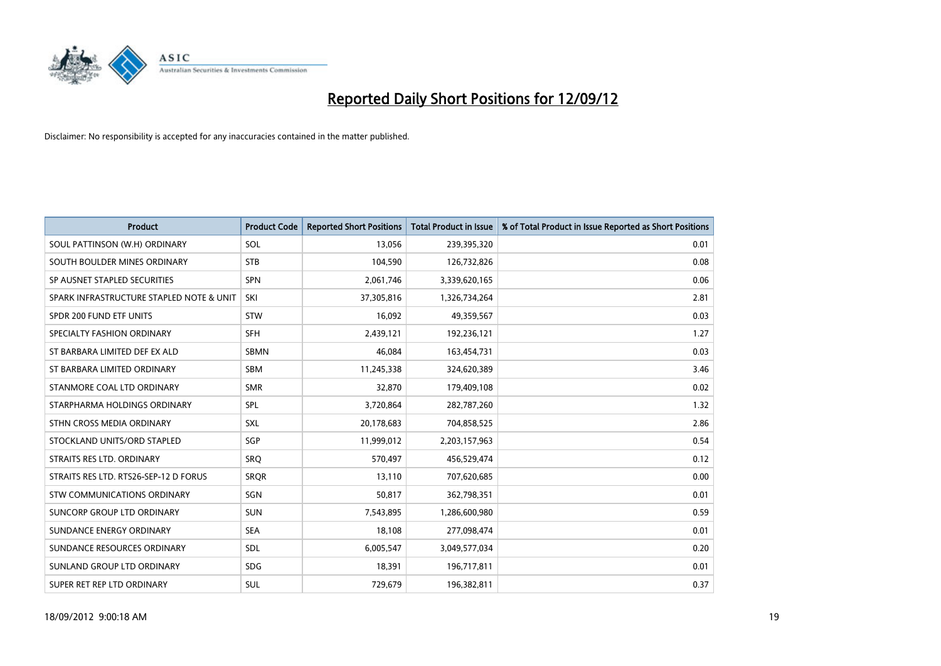

| <b>Product</b>                           | <b>Product Code</b> | <b>Reported Short Positions</b> | <b>Total Product in Issue</b> | % of Total Product in Issue Reported as Short Positions |
|------------------------------------------|---------------------|---------------------------------|-------------------------------|---------------------------------------------------------|
| SOUL PATTINSON (W.H) ORDINARY            | SOL                 | 13,056                          | 239,395,320                   | 0.01                                                    |
| SOUTH BOULDER MINES ORDINARY             | <b>STB</b>          | 104,590                         | 126,732,826                   | 0.08                                                    |
| SP AUSNET STAPLED SECURITIES             | <b>SPN</b>          | 2,061,746                       | 3,339,620,165                 | 0.06                                                    |
| SPARK INFRASTRUCTURE STAPLED NOTE & UNIT | SKI                 | 37,305,816                      | 1,326,734,264                 | 2.81                                                    |
| SPDR 200 FUND ETF UNITS                  | <b>STW</b>          | 16,092                          | 49,359,567                    | 0.03                                                    |
| SPECIALTY FASHION ORDINARY               | <b>SFH</b>          | 2,439,121                       | 192,236,121                   | 1.27                                                    |
| ST BARBARA LIMITED DEF EX ALD            | <b>SBMN</b>         | 46.084                          | 163,454,731                   | 0.03                                                    |
| ST BARBARA LIMITED ORDINARY              | <b>SBM</b>          | 11,245,338                      | 324,620,389                   | 3.46                                                    |
| STANMORE COAL LTD ORDINARY               | <b>SMR</b>          | 32,870                          | 179,409,108                   | 0.02                                                    |
| STARPHARMA HOLDINGS ORDINARY             | SPL                 | 3,720,864                       | 282,787,260                   | 1.32                                                    |
| STHN CROSS MEDIA ORDINARY                | <b>SXL</b>          | 20,178,683                      | 704,858,525                   | 2.86                                                    |
| STOCKLAND UNITS/ORD STAPLED              | SGP                 | 11,999,012                      | 2,203,157,963                 | 0.54                                                    |
| STRAITS RES LTD. ORDINARY                | SRO                 | 570,497                         | 456,529,474                   | 0.12                                                    |
| STRAITS RES LTD. RTS26-SEP-12 D FORUS    | <b>SROR</b>         | 13,110                          | 707,620,685                   | 0.00                                                    |
| <b>STW COMMUNICATIONS ORDINARY</b>       | SGN                 | 50,817                          | 362,798,351                   | 0.01                                                    |
| SUNCORP GROUP LTD ORDINARY               | <b>SUN</b>          | 7,543,895                       | 1,286,600,980                 | 0.59                                                    |
| SUNDANCE ENERGY ORDINARY                 | <b>SEA</b>          | 18,108                          | 277,098,474                   | 0.01                                                    |
| SUNDANCE RESOURCES ORDINARY              | <b>SDL</b>          | 6,005,547                       | 3,049,577,034                 | 0.20                                                    |
| SUNLAND GROUP LTD ORDINARY               | <b>SDG</b>          | 18,391                          | 196,717,811                   | 0.01                                                    |
| SUPER RET REP LTD ORDINARY               | <b>SUL</b>          | 729,679                         | 196,382,811                   | 0.37                                                    |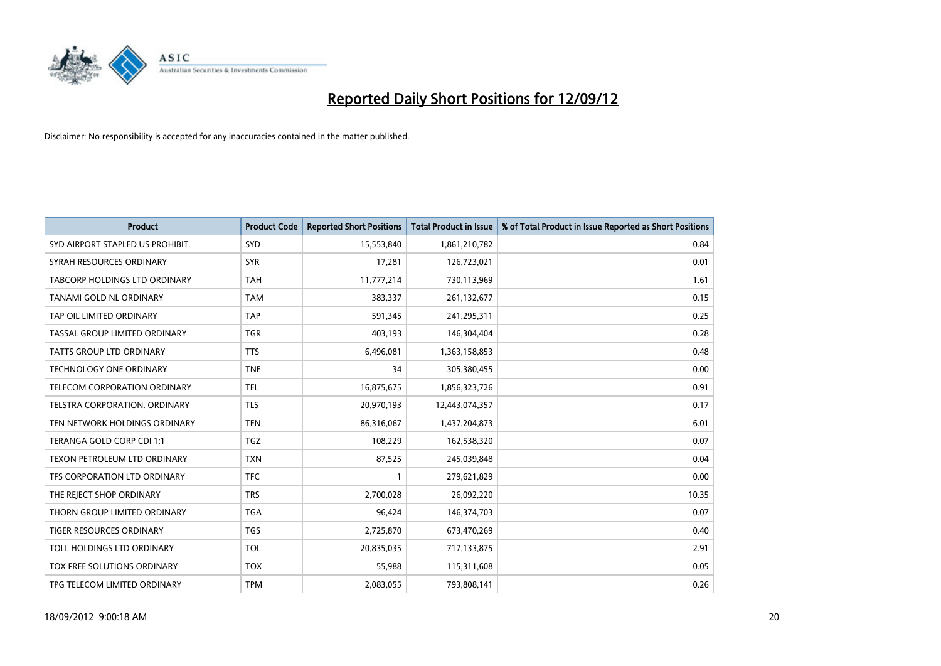

| <b>Product</b>                   | <b>Product Code</b> | <b>Reported Short Positions</b> | <b>Total Product in Issue</b> | % of Total Product in Issue Reported as Short Positions |
|----------------------------------|---------------------|---------------------------------|-------------------------------|---------------------------------------------------------|
| SYD AIRPORT STAPLED US PROHIBIT. | <b>SYD</b>          | 15,553,840                      | 1,861,210,782                 | 0.84                                                    |
| SYRAH RESOURCES ORDINARY         | <b>SYR</b>          | 17,281                          | 126,723,021                   | 0.01                                                    |
| TABCORP HOLDINGS LTD ORDINARY    | <b>TAH</b>          | 11,777,214                      | 730,113,969                   | 1.61                                                    |
| TANAMI GOLD NL ORDINARY          | <b>TAM</b>          | 383,337                         | 261,132,677                   | 0.15                                                    |
| TAP OIL LIMITED ORDINARY         | <b>TAP</b>          | 591,345                         | 241,295,311                   | 0.25                                                    |
| TASSAL GROUP LIMITED ORDINARY    | <b>TGR</b>          | 403,193                         | 146,304,404                   | 0.28                                                    |
| TATTS GROUP LTD ORDINARY         | <b>TTS</b>          | 6,496,081                       | 1,363,158,853                 | 0.48                                                    |
| TECHNOLOGY ONE ORDINARY          | <b>TNE</b>          | 34                              | 305,380,455                   | 0.00                                                    |
| TELECOM CORPORATION ORDINARY     | <b>TEL</b>          | 16,875,675                      | 1,856,323,726                 | 0.91                                                    |
| TELSTRA CORPORATION, ORDINARY    | <b>TLS</b>          | 20,970,193                      | 12,443,074,357                | 0.17                                                    |
| TEN NETWORK HOLDINGS ORDINARY    | <b>TEN</b>          | 86,316,067                      | 1,437,204,873                 | 6.01                                                    |
| TERANGA GOLD CORP CDI 1:1        | <b>TGZ</b>          | 108,229                         | 162,538,320                   | 0.07                                                    |
| TEXON PETROLEUM LTD ORDINARY     | <b>TXN</b>          | 87,525                          | 245,039,848                   | 0.04                                                    |
| TFS CORPORATION LTD ORDINARY     | <b>TFC</b>          |                                 | 279,621,829                   | 0.00                                                    |
| THE REJECT SHOP ORDINARY         | <b>TRS</b>          | 2,700,028                       | 26,092,220                    | 10.35                                                   |
| THORN GROUP LIMITED ORDINARY     | <b>TGA</b>          | 96,424                          | 146,374,703                   | 0.07                                                    |
| TIGER RESOURCES ORDINARY         | <b>TGS</b>          | 2,725,870                       | 673,470,269                   | 0.40                                                    |
| TOLL HOLDINGS LTD ORDINARY       | <b>TOL</b>          | 20,835,035                      | 717,133,875                   | 2.91                                                    |
| TOX FREE SOLUTIONS ORDINARY      | <b>TOX</b>          | 55,988                          | 115,311,608                   | 0.05                                                    |
| TPG TELECOM LIMITED ORDINARY     | <b>TPM</b>          | 2,083,055                       | 793,808,141                   | 0.26                                                    |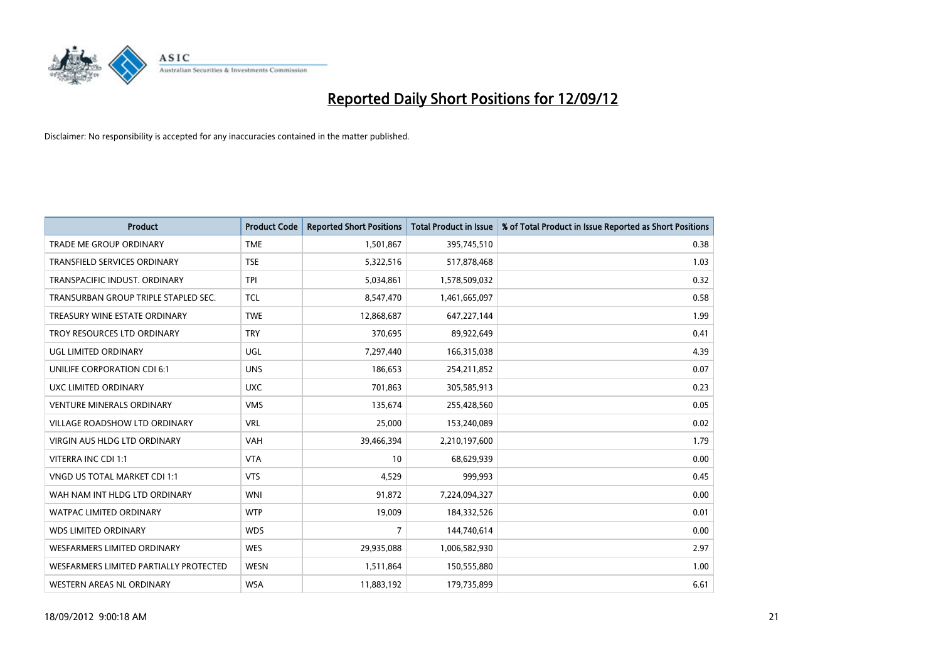

| <b>Product</b>                         | <b>Product Code</b> | <b>Reported Short Positions</b> | <b>Total Product in Issue</b> | % of Total Product in Issue Reported as Short Positions |
|----------------------------------------|---------------------|---------------------------------|-------------------------------|---------------------------------------------------------|
| <b>TRADE ME GROUP ORDINARY</b>         | <b>TME</b>          | 1,501,867                       | 395,745,510                   | 0.38                                                    |
| TRANSFIELD SERVICES ORDINARY           | <b>TSE</b>          | 5,322,516                       | 517,878,468                   | 1.03                                                    |
| TRANSPACIFIC INDUST, ORDINARY          | <b>TPI</b>          | 5,034,861                       | 1,578,509,032                 | 0.32                                                    |
| TRANSURBAN GROUP TRIPLE STAPLED SEC.   | <b>TCL</b>          | 8,547,470                       | 1,461,665,097                 | 0.58                                                    |
| TREASURY WINE ESTATE ORDINARY          | <b>TWE</b>          | 12,868,687                      | 647,227,144                   | 1.99                                                    |
| TROY RESOURCES LTD ORDINARY            | <b>TRY</b>          | 370,695                         | 89,922,649                    | 0.41                                                    |
| UGL LIMITED ORDINARY                   | UGL                 | 7,297,440                       | 166,315,038                   | 4.39                                                    |
| UNILIFE CORPORATION CDI 6:1            | <b>UNS</b>          | 186,653                         | 254,211,852                   | 0.07                                                    |
| UXC LIMITED ORDINARY                   | <b>UXC</b>          | 701,863                         | 305,585,913                   | 0.23                                                    |
| <b>VENTURE MINERALS ORDINARY</b>       | <b>VMS</b>          | 135,674                         | 255,428,560                   | 0.05                                                    |
| VILLAGE ROADSHOW LTD ORDINARY          | <b>VRL</b>          | 25,000                          | 153,240,089                   | 0.02                                                    |
| <b>VIRGIN AUS HLDG LTD ORDINARY</b>    | <b>VAH</b>          | 39,466,394                      | 2,210,197,600                 | 1.79                                                    |
| VITERRA INC CDI 1:1                    | <b>VTA</b>          | 10                              | 68,629,939                    | 0.00                                                    |
| VNGD US TOTAL MARKET CDI 1:1           | <b>VTS</b>          | 4,529                           | 999,993                       | 0.45                                                    |
| WAH NAM INT HLDG LTD ORDINARY          | <b>WNI</b>          | 91,872                          | 7,224,094,327                 | 0.00                                                    |
| <b>WATPAC LIMITED ORDINARY</b>         | <b>WTP</b>          | 19,009                          | 184,332,526                   | 0.01                                                    |
| <b>WDS LIMITED ORDINARY</b>            | <b>WDS</b>          | $\overline{7}$                  | 144,740,614                   | 0.00                                                    |
| <b>WESFARMERS LIMITED ORDINARY</b>     | <b>WES</b>          | 29,935,088                      | 1,006,582,930                 | 2.97                                                    |
| WESFARMERS LIMITED PARTIALLY PROTECTED | <b>WESN</b>         | 1,511,864                       | 150,555,880                   | 1.00                                                    |
| WESTERN AREAS NL ORDINARY              | <b>WSA</b>          | 11,883,192                      | 179,735,899                   | 6.61                                                    |